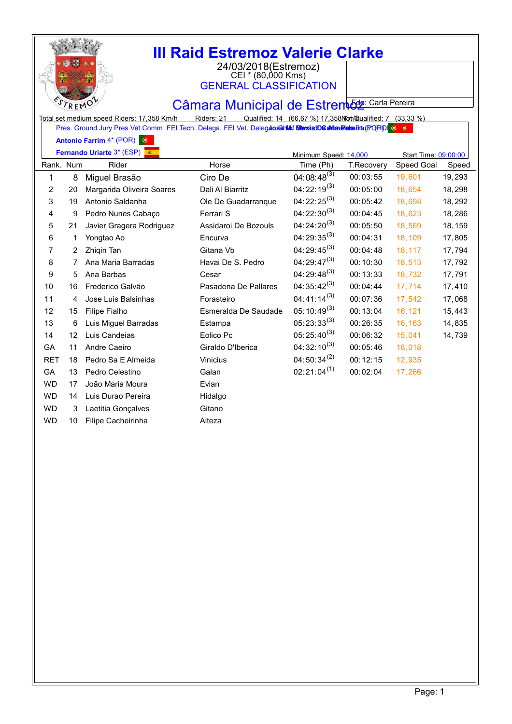|            | R F |                                                                                                                                                       | <b>III Raid Estremoz Valerie Clarke</b><br>24/03/2018(Estremoz)<br>CEI * (80,000 Kms)<br><b>GENERAL CLASSIFICATION</b><br>Câmara Municipal de Estrem <sub>62</sub> : Carla Pereira |                                                           |                   |                      |         |
|------------|-----|-------------------------------------------------------------------------------------------------------------------------------------------------------|------------------------------------------------------------------------------------------------------------------------------------------------------------------------------------|-----------------------------------------------------------|-------------------|----------------------|---------|
|            |     | Total set medium speed Riders: 17,358 Km/h<br>Pres. Ground Jury Pres. Vet. Comm FEI Tech. Delega. FEI Vet. Delegaoschilef MexicaD6 adme Princh (PORD) | Riders: 21                                                                                                                                                                         | Qualified: 14 (66,67 %) 17,358 Not Qualified: 7 (33,33 %) |                   |                      |         |
|            |     | Antonio Farrim 4* (POR)                                                                                                                               |                                                                                                                                                                                    |                                                           |                   |                      |         |
|            |     | Fernando Uriarte 3* (ESP)                                                                                                                             |                                                                                                                                                                                    | Minimum Speed: 14,000                                     |                   | Start Time: 09:00:00 |         |
| Rank. Num  |     | Rider                                                                                                                                                 | Horse                                                                                                                                                                              | Time (Ph)                                                 | <b>T.Recovery</b> | <b>Speed Goal</b>    | Speed   |
| 1          | 8   | Miguel Brasão                                                                                                                                         | Ciro De                                                                                                                                                                            | 04:08:48 <sup>(3)</sup>                                   | 00:03:55          | 19,601               | 19,293  |
| 2          | 20  | Margarida Oliveira Soares                                                                                                                             | Dali Al Biarritz                                                                                                                                                                   | $04:22:19^{(3)}$                                          | 00:05:00          | 18,654               | 18,298  |
| 3          | 19  | Antonio Saldanha                                                                                                                                      | Ole De Guadarranque                                                                                                                                                                | $04:22:25^{(3)}$                                          | 00:05:42          | 18,698               | 18,292  |
| 4          | 9   | Pedro Nunes Cabaço                                                                                                                                    | Ferrari S                                                                                                                                                                          | $04:22:30^{(3)}$                                          | 00:04:45          | 18,623               | 18,286  |
| 5          | 21  | Javier Gragera Rodriguez                                                                                                                              | Assidaroi De Bozouls                                                                                                                                                               | $04:24:20^{(3)}$                                          | 00:05:50          | 18,569               | 18, 159 |
| 6          | 1   | Yongtao Ao                                                                                                                                            | Encurva                                                                                                                                                                            | $04:29:35^{(3)}$                                          | 00:04:31          | 18,109               | 17,805  |
| 7          | 2   | Zhiqin Tan                                                                                                                                            | Gitana Vb                                                                                                                                                                          | $04:29:45^{(3)}$                                          | 00:04:48          | 18,117               | 17,794  |
| 8          | 7   | Ana Maria Barradas                                                                                                                                    | Havai De S. Pedro                                                                                                                                                                  | $04:29:47^{(3)}$                                          | 00:10:30          | 18,513               | 17,792  |
| 9          | 5   | Ana Barbas                                                                                                                                            | Cesar                                                                                                                                                                              | $04:29:48^{(3)}$                                          | 00:13:33          | 18,732               | 17,791  |
| 10         | 16  | Frederico Galvão                                                                                                                                      | Pasadena De Pallares                                                                                                                                                               | $04:35:42^{(3)}$                                          | 00:04:44          | 17,714               | 17,410  |
| 11         | 4   | Jose Luis Balsinhas                                                                                                                                   | Forasteiro                                                                                                                                                                         | 04:41:14 <sup>(3)</sup>                                   | 00:07:36          | 17,542               | 17,068  |
| 12         | 15  | Filipe Fialho                                                                                                                                         | Esmeralda De Saudade                                                                                                                                                               | $05:10:49^{(3)}$                                          | 00:13:04          | 16, 121              | 15,443  |
| 13         | 6   | Luis Miguel Barradas                                                                                                                                  | Estampa                                                                                                                                                                            | $05:23:33^{(3)}$                                          | 00:26:35          | 16, 163              | 14,835  |
| 14         | 12  | Luis Candeias                                                                                                                                         | Eolico Pc                                                                                                                                                                          | $05:25:40^{(3)}$                                          | 00:06:32          | 15,041               | 14,739  |
| GA         | 11  | Andre Caeiro                                                                                                                                          | Giraldo D'Iberica                                                                                                                                                                  | $04:32:10^{(3)}$                                          | 00:05:46          | 18,018               |         |
| <b>RET</b> | 18  | Pedro Sa E Almeida                                                                                                                                    | <b>Vinicius</b>                                                                                                                                                                    | 04:50:34 $^{(2)}$                                         | 00:12:15          | 12,935               |         |
| GA         | 13  | Pedro Celestino                                                                                                                                       | Galan                                                                                                                                                                              | $02:21:04^{(1)}$                                          | 00:02:04          | 17,266               |         |
| <b>WD</b>  | 17  | João Maria Moura                                                                                                                                      | Evian                                                                                                                                                                              |                                                           |                   |                      |         |
| <b>WD</b>  | 14  | Luis Durao Pereira                                                                                                                                    | Hidalgo                                                                                                                                                                            |                                                           |                   |                      |         |
| <b>WD</b>  | 3   | Laetitia Gonçalves                                                                                                                                    | Gitano                                                                                                                                                                             |                                                           |                   |                      |         |
| <b>WD</b>  | 10  | Filipe Cacheirinha                                                                                                                                    | Alteza                                                                                                                                                                             |                                                           |                   |                      |         |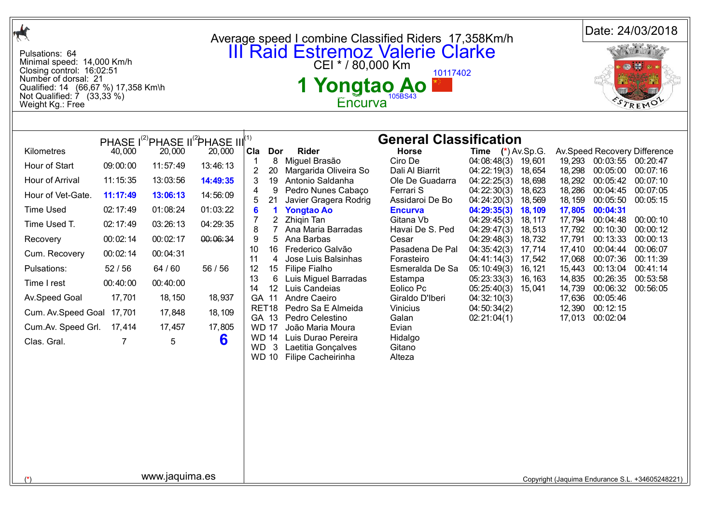| $\mathcal{A}$                                                                                                                                                                                                                                   |                                                                                                                                                                 |                                                                                                                                                       |                                                                                                                                                                                                          |                                                                                                                                                                                                                                                                                                                     |                                                                                                                                                                                                                                                                                                                                                                                                                                                             |                                                                                                                                                                                                                                                                                                                                                       |                                                                                                                                                                                                                                                                                           |                                                                                                                                             |                                                                                                                                                               |                                                                                                                                                                                                                          | Date: 24/03/2018                                                                                                                                                             |
|-------------------------------------------------------------------------------------------------------------------------------------------------------------------------------------------------------------------------------------------------|-----------------------------------------------------------------------------------------------------------------------------------------------------------------|-------------------------------------------------------------------------------------------------------------------------------------------------------|----------------------------------------------------------------------------------------------------------------------------------------------------------------------------------------------------------|---------------------------------------------------------------------------------------------------------------------------------------------------------------------------------------------------------------------------------------------------------------------------------------------------------------------|-------------------------------------------------------------------------------------------------------------------------------------------------------------------------------------------------------------------------------------------------------------------------------------------------------------------------------------------------------------------------------------------------------------------------------------------------------------|-------------------------------------------------------------------------------------------------------------------------------------------------------------------------------------------------------------------------------------------------------------------------------------------------------------------------------------------------------|-------------------------------------------------------------------------------------------------------------------------------------------------------------------------------------------------------------------------------------------------------------------------------------------|---------------------------------------------------------------------------------------------------------------------------------------------|---------------------------------------------------------------------------------------------------------------------------------------------------------------|--------------------------------------------------------------------------------------------------------------------------------------------------------------------------------------------------------------------------|------------------------------------------------------------------------------------------------------------------------------------------------------------------------------|
| Pulsations: 64<br>Minimal speed: 14,000 Km/h<br>Closing control: 16:02:51<br>Number of dorsal: 21<br>Qualified: 14 (66,67 %) 17,358 Km\h<br>Not Qualified: 7 (33,33 %)<br>Weight Kg.: Free                                                      |                                                                                                                                                                 |                                                                                                                                                       |                                                                                                                                                                                                          | Average speed I combine Classified Riders 17,358Km/h<br><b>III Raid Estremoz Valerie Clarke</b><br>CEI * / 80,000 Km<br>10117402<br>1 Yongtao Ao I<br>Encurva                                                                                                                                                       |                                                                                                                                                                                                                                                                                                                                                                                                                                                             |                                                                                                                                                                                                                                                                                                                                                       |                                                                                                                                                                                                                                                                                           |                                                                                                                                             |                                                                                                                                                               |                                                                                                                                                                                                                          |                                                                                                                                                                              |
|                                                                                                                                                                                                                                                 |                                                                                                                                                                 |                                                                                                                                                       |                                                                                                                                                                                                          |                                                                                                                                                                                                                                                                                                                     |                                                                                                                                                                                                                                                                                                                                                                                                                                                             |                                                                                                                                                                                                                                                                                                                                                       |                                                                                                                                                                                                                                                                                           |                                                                                                                                             |                                                                                                                                                               |                                                                                                                                                                                                                          |                                                                                                                                                                              |
| Kilometres<br>Hour of Start<br>Hour of Arrival<br>Hour of Vet-Gate.<br><b>Time Used</b><br>Time Used T.<br>Recovery<br>Cum. Recovery<br>Pulsations:<br>Time I rest<br>Av.Speed Goal<br>Cum. Av. Speed Goal<br>Cum.Av. Speed Grl.<br>Clas. Gral. | 40,000<br>09:00:00<br>11:15:35<br>11:17:49<br>02:17:49<br>02:17:49<br>00:02:14<br>00:02:14<br>52/56<br>00:40:00<br>17,701<br>17,701<br>17,414<br>$\overline{7}$ | 20,000<br>11:57:49<br>13:03:56<br>13:06:13<br>01:08:24<br>03:26:13<br>00:02:17<br>00:04:31<br>64 / 60<br>00:40:00<br>18, 150<br>17,848<br>17,457<br>5 | PHASE I <sup>(2)</sup> PHASE II <sup>(2</sup> )PHASE III <sup>(1)</sup><br>20,000<br>13:46:13<br>14:49:35<br>14:56:09<br>01:03:22<br>04:29:35<br>00:06:34<br>56 / 56<br>18,937<br>18, 109<br>17,805<br>6 | Cla Dor<br>8<br>-1<br>$\overline{2}$<br>20<br>19<br>3<br>4<br>9<br>21<br>5<br>6<br>$\blacktriangleleft$<br>$\overline{2}$<br>8<br>7<br>9<br>5<br>16<br>10<br>11<br>4<br>12<br>15<br>13<br>6<br>14<br>12 <sup>2</sup><br>GA 11<br>RET <sub>18</sub><br>GA 13<br><b>WD 17</b><br><b>WD 14</b><br>WD 3<br><b>WD 10</b> | <b>Rider</b><br>Miguel Brasão<br>Margarida Oliveira So<br>Antonio Saldanha<br>Pedro Nunes Cabaço<br>Javier Gragera Rodrig<br><b>Yongtao Ao</b><br>Zhiqin Tan<br>Ana Maria Barradas<br>Ana Barbas<br>Frederico Galvão<br>Jose Luis Balsinhas<br><b>Filipe Fialho</b><br>Luis Miguel Barradas<br>Luis Candeias<br>Andre Caeiro<br>Pedro Sa E Almeida<br>Pedro Celestino<br>João Maria Moura<br>Luis Durao Pereira<br>Laetitia Gonçalves<br>Filipe Cacheirinha | <b>General Classification</b><br><b>Horse</b><br>Ciro De<br>Dali Al Biarrit<br>Ole De Guadarra<br>Ferrari S<br>Assidaroi De Bo<br><b>Encurva</b><br>Gitana Vb<br>Havai De S. Ped<br>Cesar<br>Pasadena De Pal<br>Forasteiro<br>Esmeralda De Sa<br>Estampa<br>Eolico Pc<br>Giraldo D'Iberi<br>Vinicius<br>Galan<br>Evian<br>Hidalgo<br>Gitano<br>Alteza | <b>Time</b> $(*)$ Av.Sp.G.<br>04:08:48(3)<br>04:22:19(3)<br>04:22:25(3)<br>04:22:30(3)<br>04:24:20(3)<br>04:29:35(3)<br>04:29:45(3)<br>04:29:47(3)<br>04:29:48(3)<br>04:35:42(3)<br>04:41:14(3)<br>05:10:49(3)<br>05:23:33(3)<br>05:25:40(3)<br>04:32:10(3)<br>04:50:34(2)<br>02:21:04(1) | 19,601<br>18,654<br>18,698<br>18,623<br>18,569<br>18,109<br>18, 117<br>18,513<br>18,732<br>17,714<br>17,542<br>16, 121<br>16, 163<br>15,041 | 19,293<br>18,298<br>18,292<br>18,286<br>18, 159<br>17,805<br>17,794<br>17,792<br>17,791<br>17,410<br>17,068<br>15,443<br>14,835<br>14,739<br>17,636<br>12,390 | 00:03:55 00:20:47<br>00:05:00<br>00:05:42<br>00:04:45<br>00:05:50<br>00:04:31<br>00:04:48<br>00:10:30<br>00:13:33<br>00:04:44<br>00:07:36<br>00:13:04<br>00:26:35<br>00:06:32<br>00:05:46<br>00:12:15<br>17,013 00:02:04 | Av.Speed Recovery Difference<br>00:07:16<br>00:07:10<br>00:07:05<br>00:05:15<br>00:00:10<br>00:00:12<br>00:00:13<br>00:06:07<br>00:11:39<br>00:41:14<br>00:53:58<br>00:56:05 |
|                                                                                                                                                                                                                                                 |                                                                                                                                                                 | www.jaquima.es                                                                                                                                        |                                                                                                                                                                                                          |                                                                                                                                                                                                                                                                                                                     |                                                                                                                                                                                                                                                                                                                                                                                                                                                             |                                                                                                                                                                                                                                                                                                                                                       |                                                                                                                                                                                                                                                                                           |                                                                                                                                             |                                                                                                                                                               |                                                                                                                                                                                                                          | Copyright (Jaquima Endurance S.L. +34605248221)                                                                                                                              |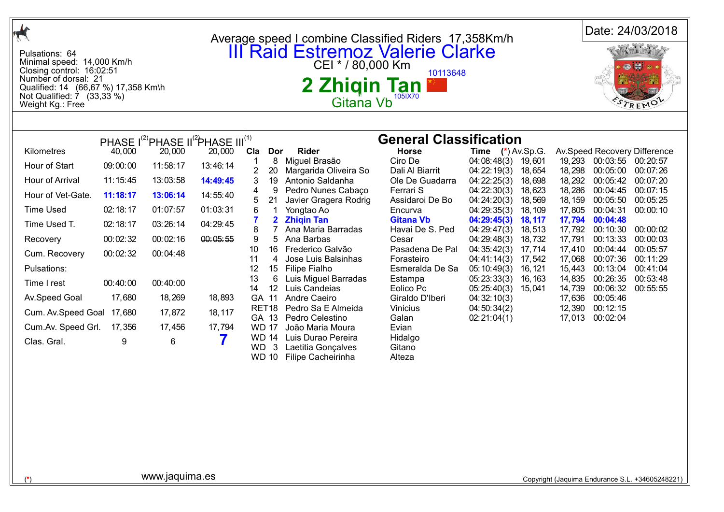|                                                                                                                                                                                                         |          |                                                                                  |          |                                                                                                                                                                                 |                                                                      |                                               |                                   |                   |                   |                             | Date: 24/03/2018                                |
|---------------------------------------------------------------------------------------------------------------------------------------------------------------------------------------------------------|----------|----------------------------------------------------------------------------------|----------|---------------------------------------------------------------------------------------------------------------------------------------------------------------------------------|----------------------------------------------------------------------|-----------------------------------------------|-----------------------------------|-------------------|-------------------|-----------------------------|-------------------------------------------------|
| Pulsations: 64<br>Minimal speed: 14,000 Km/h<br>Closing control: 16:02:51<br>Number of dorsal: 21<br>Qualified: 14 (66,67 %) 17,358 Km\h<br>Not Qualified: $\overline{7}$ (33,33 %)<br>Weight Kg.: Free |          |                                                                                  |          | Average speed I combine Classified Riders 17,358Km/h<br><b>III Raid Estremoz Valerie Clarke</b><br>CEI * / 80,000 Km<br>10113648<br>2 Zhiqin Tan<br>105IX70<br><b>Gitana Vb</b> |                                                                      |                                               |                                   |                   |                   |                             |                                                 |
|                                                                                                                                                                                                         |          |                                                                                  |          |                                                                                                                                                                                 |                                                                      |                                               |                                   |                   |                   |                             |                                                 |
| Kilometres                                                                                                                                                                                              | 40,000   | PHASE I <sup>(2)</sup> PHASE II <sup>(2</sup> PHASE III <sup>(1)</sup><br>20,000 | 20,000   | Cla<br>Dor                                                                                                                                                                      | <b>Rider</b>                                                         | <b>General Classification</b><br><b>Horse</b> | <b>Time</b> $(*)$ Av.Sp.G.        |                   |                   |                             | Av.Speed Recovery Difference                    |
| Hour of Start                                                                                                                                                                                           | 09:00:00 | 11:58:17                                                                         | 13:46:14 | 8<br>-1                                                                                                                                                                         | Miguel Brasão                                                        | Ciro De                                       | 04:08:48(3)                       | 19,601            | 19,293            | 00:03:55 00:20:57           |                                                 |
| Hour of Arrival                                                                                                                                                                                         | 11:15:45 | 13:03:58                                                                         | 14:49:45 | 2<br>20<br>3                                                                                                                                                                    | Margarida Oliveira So<br>19 Antonio Saldanha                         | Dali Al Biarrit<br>Ole De Guadarra            | 04:22:19(3)<br>04:22:25(3)        | 18,654<br>18,698  | 18,298<br>18,292  | 00:05:00<br>00:05:42        | 00:07:26<br>00:07:20                            |
| Hour of Vet-Gate.                                                                                                                                                                                       | 11:18:17 | 13:06:14                                                                         | 14:55:40 | 9<br>4                                                                                                                                                                          | Pedro Nunes Cabaço                                                   | Ferrari S                                     | 04:22:30(3)                       | 18,623            | 18,286            | 00:04:45                    | 00:07:15                                        |
| <b>Time Used</b>                                                                                                                                                                                        | 02:18:17 | 01:07:57                                                                         | 01:03:31 | 5<br>21<br>6                                                                                                                                                                    | Javier Gragera Rodrig<br>Yongtao Ao                                  | Assidaroi De Bo<br>Encurva                    | 04:24:20(3)<br>04:29:35(3)        | 18,569<br>18, 109 | 18, 159<br>17,805 | 00:05:50<br>00:04:31        | 00:05:25<br>00:00:10                            |
| Time Used T.                                                                                                                                                                                            | 02:18:17 | 03:26:14                                                                         | 04:29:45 | $\mathbf{2}$                                                                                                                                                                    | <b>Zhigin Tan</b>                                                    | <b>Gitana Vb</b>                              | 04:29:45(3)                       | 18,117            | 17,794            | 00:04:48                    |                                                 |
| Recovery                                                                                                                                                                                                | 00:02:32 | 00:02:16                                                                         | 00:05:55 | 8<br>7<br>9<br>5                                                                                                                                                                | Ana Maria Barradas<br>Ana Barbas                                     | Havai De S. Ped<br>Cesar                      | 04:29:47(3)<br>04:29:48(3)        | 18,513<br>18,732  | 17,792<br>17,791  | 00:10:30<br>00:13:33        | 00:00:02<br>00:00:03                            |
| Cum. Recovery                                                                                                                                                                                           | 00:02:32 | 00:04:48                                                                         |          | 16<br>10                                                                                                                                                                        | Frederico Galvão                                                     | Pasadena De Pal                               | 04:35:42(3)                       | 17,714            | 17,410            | 00:04:44                    | 00:05:57                                        |
| Pulsations:                                                                                                                                                                                             |          |                                                                                  |          | 11<br>4<br>12<br>15                                                                                                                                                             | Jose Luis Balsinhas<br>Filipe Fialho                                 | Forasteiro<br>Esmeralda De Sa                 | 04:41:14(3)<br>05:10:49(3)        | 17,542<br>16, 121 | 17,068<br>15,443  | 00:07:36<br>00:13:04        | 00:11:29<br>00:41:04                            |
| Time I rest                                                                                                                                                                                             | 00:40:00 | 00:40:00                                                                         |          | 13<br>6<br>14                                                                                                                                                                   | Luis Miguel Barradas<br>12 Luis Candeias                             | Estampa                                       | 05:23:33(3)                       | 16, 163           | 14,835            | 00:26:35                    | 00:53:48                                        |
| Av.Speed Goal                                                                                                                                                                                           | 17,680   | 18,269                                                                           | 18,893   | GA 11                                                                                                                                                                           | Andre Caeiro                                                         | Eolico Pc<br>Giraldo D'Iberi                  | 05:25:40(3) 15,041<br>04:32:10(3) |                   | 14,739<br>17,636  | 00:06:32<br>00:05:46        | 00:55:55                                        |
| Cum. Av. Speed Goal 17,680                                                                                                                                                                              |          | 17,872                                                                           | 18,117   | GA 13                                                                                                                                                                           | RET18 Pedro Sa E Almeida<br>Pedro Celestino                          | <b>Vinicius</b><br>Galan                      | 04:50:34(2)                       |                   | 12,390            | 00:12:15<br>17,013 00:02:04 |                                                 |
| Cum.Av. Speed Grl.                                                                                                                                                                                      | 17,356   | 17,456                                                                           | 17,794   | <b>WD 17</b>                                                                                                                                                                    | João Maria Moura                                                     | Evian                                         | 02:21:04(1)                       |                   |                   |                             |                                                 |
| Clas. Gral.                                                                                                                                                                                             | 9        | 6                                                                                | 7        | <b>WD 14</b><br>$\mathbf{3}$<br>WD.                                                                                                                                             | Luis Durao Pereira<br>Laetitia Gonçalves<br>WD 10 Filipe Cacheirinha | Hidalgo<br>Gitano<br>Alteza                   |                                   |                   |                   |                             |                                                 |
|                                                                                                                                                                                                         |          |                                                                                  |          |                                                                                                                                                                                 |                                                                      |                                               |                                   |                   |                   |                             |                                                 |
|                                                                                                                                                                                                         |          |                                                                                  |          |                                                                                                                                                                                 |                                                                      |                                               |                                   |                   |                   |                             |                                                 |
|                                                                                                                                                                                                         |          |                                                                                  |          |                                                                                                                                                                                 |                                                                      |                                               |                                   |                   |                   |                             |                                                 |
|                                                                                                                                                                                                         |          |                                                                                  |          |                                                                                                                                                                                 |                                                                      |                                               |                                   |                   |                   |                             |                                                 |
|                                                                                                                                                                                                         |          | www.jaquima.es                                                                   |          |                                                                                                                                                                                 |                                                                      |                                               |                                   |                   |                   |                             | Copyright (Jaquima Endurance S.L. +34605248221) |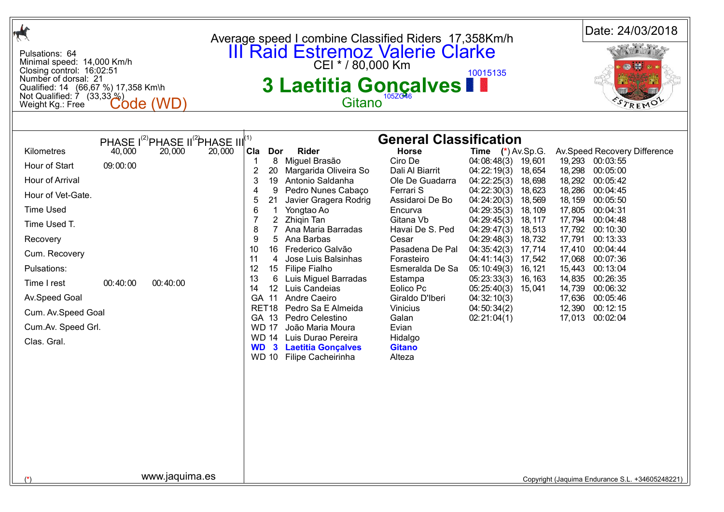|                                                                                                                                                                                                                                                 |                                |                                                                                       |        |                                                                                                                                                                                                                                    | Average speed I combine Classified Riders 17,358Km/h                                                                                                                                                                                                                                                                                                                                                                                                                      |                                                                                                                                                                                                                                                                                                                                                              |                                                                                                                                                                                                                                                                                           |                                                                                                                                    |                                                                                                                                 | Date: 24/03/2018                                                                                                                                                                                                                                                     |  |
|-------------------------------------------------------------------------------------------------------------------------------------------------------------------------------------------------------------------------------------------------|--------------------------------|---------------------------------------------------------------------------------------|--------|------------------------------------------------------------------------------------------------------------------------------------------------------------------------------------------------------------------------------------|---------------------------------------------------------------------------------------------------------------------------------------------------------------------------------------------------------------------------------------------------------------------------------------------------------------------------------------------------------------------------------------------------------------------------------------------------------------------------|--------------------------------------------------------------------------------------------------------------------------------------------------------------------------------------------------------------------------------------------------------------------------------------------------------------------------------------------------------------|-------------------------------------------------------------------------------------------------------------------------------------------------------------------------------------------------------------------------------------------------------------------------------------------|------------------------------------------------------------------------------------------------------------------------------------|---------------------------------------------------------------------------------------------------------------------------------|----------------------------------------------------------------------------------------------------------------------------------------------------------------------------------------------------------------------------------------------------------------------|--|
| Pulsations: 64<br>Minimal speed: 14,000 Km/h<br>Closing control: 16:02:51<br>Number of dorsal: 21<br>Qualified: 14 (66,67 %) 17,358 Km\h<br>Not Qualified: 7 (33,33 %)<br>Weight Kg.: Free                                                      |                                | Code (WD)                                                                             |        |                                                                                                                                                                                                                                    | <b>III Raid Estremoz Valerie Clarke</b><br>CEI * / 80,000 Km<br>3 Laetitia Gonçalves<br>Gitano                                                                                                                                                                                                                                                                                                                                                                            |                                                                                                                                                                                                                                                                                                                                                              | 10015135                                                                                                                                                                                                                                                                                  |                                                                                                                                    |                                                                                                                                 | REMO                                                                                                                                                                                                                                                                 |  |
|                                                                                                                                                                                                                                                 |                                |                                                                                       |        |                                                                                                                                                                                                                                    |                                                                                                                                                                                                                                                                                                                                                                                                                                                                           |                                                                                                                                                                                                                                                                                                                                                              |                                                                                                                                                                                                                                                                                           |                                                                                                                                    |                                                                                                                                 |                                                                                                                                                                                                                                                                      |  |
| Kilometres<br>Hour of Start<br>Hour of Arrival<br>Hour of Vet-Gate.<br><b>Time Used</b><br>Time Used T.<br>Recovery<br>Cum. Recovery<br>Pulsations:<br>Time I rest<br>Av.Speed Goal<br>Cum. Av. Speed Goal<br>Cum.Av. Speed Grl.<br>Clas. Gral. | 40,000<br>09:00:00<br>00:40:00 | PHASE $I^{(2)}$ PHASE II <sup>(2</sup> PHASE III <sup>(1)</sup><br>20,000<br>00:40:00 | 20,000 | Cla<br>Dor<br>8<br>2<br>20<br>3<br>19<br>4<br>9<br>5<br>21<br>6<br>-1<br>$\overline{2}$<br>8<br>9<br>5<br>10<br>11<br>4<br>12<br>13<br>6<br>14<br>GA 11<br>RET <sub>18</sub><br>GA 13<br><b>WD 17</b><br>$\mathbf{3}$<br><b>WD</b> | <b>Rider</b><br>Miguel Brasão<br>Margarida Oliveira So<br>Antonio Saldanha<br>Pedro Nunes Cabaço<br>Javier Gragera Rodrig<br>Yongtao Ao<br>Zhigin Tan<br>Ana Maria Barradas<br>Ana Barbas<br>16 Frederico Galvão<br>Jose Luis Balsinhas<br>15 Filipe Fialho<br>Luis Miguel Barradas<br>12 Luis Candeias<br>Andre Caeiro<br>Pedro Sa E Almeida<br>Pedro Celestino<br>João Maria Moura<br>WD 14 Luis Durao Pereira<br><b>Laetitia Gonçalves</b><br>WD 10 Filipe Cacheirinha | <b>General Classification</b><br><b>Horse</b><br>Ciro De<br>Dali Al Biarrit<br>Ole De Guadarra<br>Ferrari S<br>Assidaroi De Bo<br>Encurva<br>Gitana Vb<br>Havai De S. Ped<br>Cesar<br>Pasadena De Pal<br>Forasteiro<br>Esmeralda De Sa<br>Estampa<br>Eolico Pc<br>Giraldo D'Iberi<br><b>Vinicius</b><br>Galan<br>Evian<br>Hidalgo<br><b>Gitano</b><br>Alteza | Time $(*)$ Av.Sp.G.<br>04:08:48(3)<br>04:22:19(3)<br>04:22:25(3)<br>04:22:30(3)<br>04:24:20(3)<br>04:29:35(3)<br>04:29:45(3)<br>04:29:47(3)<br>04:29:48(3)<br>04:35:42(3)<br>04:41:14(3)<br>05:10:49(3)<br>05:23:33(3)<br>05:25:40(3) 15,041<br>04:32:10(3)<br>04:50:34(2)<br>02:21:04(1) | 19,601<br>18,654<br>18,698<br>18,623<br>18,569<br>18, 109<br>18, 117<br>18,513<br>18,732<br>17,714<br>17,542<br>16, 121<br>16, 163 | 18,298<br>18,292<br>18,286<br>18, 159<br>17,805<br>17,794<br>17,792<br>17,791<br>17,410<br>17,068<br>15,443<br>14,835<br>14,739 | Av.Speed Recovery Difference<br>19,293 00:03:55<br>00:05:00<br>00:05:42<br>00:04:45<br>00:05:50<br>00:04:31<br>00:04:48<br>00:10:30<br>00:13:33<br>00:04:44<br>00:07:36<br>00:13:04<br>00:26:35<br>00:06:32<br>17,636 00:05:46<br>12,390 00:12:15<br>17,013 00:02:04 |  |
|                                                                                                                                                                                                                                                 |                                | www.jaquima.es                                                                        |        |                                                                                                                                                                                                                                    |                                                                                                                                                                                                                                                                                                                                                                                                                                                                           |                                                                                                                                                                                                                                                                                                                                                              |                                                                                                                                                                                                                                                                                           |                                                                                                                                    |                                                                                                                                 | Copyright (Jaquima Endurance S.L. +34605248221)                                                                                                                                                                                                                      |  |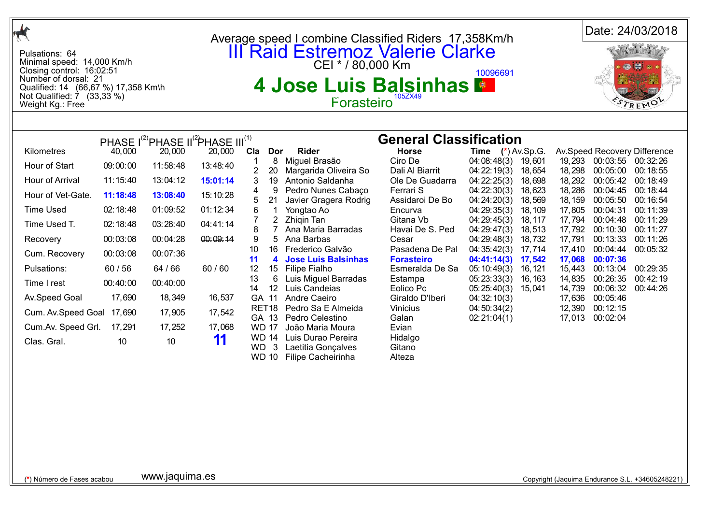| $\mathcal{A}$                                                                                                                                                                                                                                   |                                                                                                                                                       |                                                                                                                                                       |                                                                                                                                                                                                        |                                                                                                                                                                                                                                         | Average speed I combine Classified Riders 17,358Km/h                                                                                                                                                                                                                                                                                                                                                                                                                      |                                                                                                                                                                                                                                                                                                                                                       |                                                                                                                                                                                                                                                                                           |                                                                                                                                              |                                                                                                                                                     |                                                                                                                                                                                                                                 | Date: 24/03/2018                                                                                                                                                             |
|-------------------------------------------------------------------------------------------------------------------------------------------------------------------------------------------------------------------------------------------------|-------------------------------------------------------------------------------------------------------------------------------------------------------|-------------------------------------------------------------------------------------------------------------------------------------------------------|--------------------------------------------------------------------------------------------------------------------------------------------------------------------------------------------------------|-----------------------------------------------------------------------------------------------------------------------------------------------------------------------------------------------------------------------------------------|---------------------------------------------------------------------------------------------------------------------------------------------------------------------------------------------------------------------------------------------------------------------------------------------------------------------------------------------------------------------------------------------------------------------------------------------------------------------------|-------------------------------------------------------------------------------------------------------------------------------------------------------------------------------------------------------------------------------------------------------------------------------------------------------------------------------------------------------|-------------------------------------------------------------------------------------------------------------------------------------------------------------------------------------------------------------------------------------------------------------------------------------------|----------------------------------------------------------------------------------------------------------------------------------------------|-----------------------------------------------------------------------------------------------------------------------------------------------------|---------------------------------------------------------------------------------------------------------------------------------------------------------------------------------------------------------------------------------|------------------------------------------------------------------------------------------------------------------------------------------------------------------------------|
| Pulsations: 64<br>Minimal speed: 14,000 Km/h<br>Closing control: 16:02:51<br>Number of dorsal: 21<br>Qualified: 14 (66,67 %) 17,358 Km\h<br>Not Qualified: 7 (33,33 %)<br>Weight Kg.: Free                                                      |                                                                                                                                                       |                                                                                                                                                       |                                                                                                                                                                                                        |                                                                                                                                                                                                                                         | <b>III Raid Estremoz Valerie Clarke</b><br>CEI * / 80,000 Km<br>4 Jose Luis Balsinhas<br>Forasteiro <sup>1052X45</sup>                                                                                                                                                                                                                                                                                                                                                    |                                                                                                                                                                                                                                                                                                                                                       | 10096691                                                                                                                                                                                                                                                                                  |                                                                                                                                              |                                                                                                                                                     |                                                                                                                                                                                                                                 |                                                                                                                                                                              |
|                                                                                                                                                                                                                                                 |                                                                                                                                                       |                                                                                                                                                       |                                                                                                                                                                                                        |                                                                                                                                                                                                                                         |                                                                                                                                                                                                                                                                                                                                                                                                                                                                           |                                                                                                                                                                                                                                                                                                                                                       |                                                                                                                                                                                                                                                                                           |                                                                                                                                              |                                                                                                                                                     |                                                                                                                                                                                                                                 |                                                                                                                                                                              |
| Kilometres<br>Hour of Start<br>Hour of Arrival<br>Hour of Vet-Gate.<br><b>Time Used</b><br>Time Used T.<br>Recovery<br>Cum. Recovery<br>Pulsations:<br>Time I rest<br>Av.Speed Goal<br>Cum. Av. Speed Goal<br>Cum.Av. Speed Grl.<br>Clas. Gral. | 40,000<br>09:00:00<br>11:15:40<br>11:18:48<br>02:18:48<br>02:18:48<br>00:03:08<br>00:03:08<br>60 / 56<br>00:40:00<br>17,690<br>17,690<br>17,291<br>10 | 20,000<br>11:58:48<br>13:04:12<br>13:08:40<br>01:09:52<br>03:28:40<br>00:04:28<br>00:07:36<br>64 / 66<br>00:40:00<br>18,349<br>17,905<br>17,252<br>10 | PHASE I <sup>(2)</sup> PHASE II <sup>(2</sup> )PHASE III <sup>(1)</sup><br>20,000<br>13:48:40<br>15:01:14<br>15:10:28<br>01:12:34<br>04:41:14<br>00:09:14<br>60/60<br>16,537<br>17,542<br>17,068<br>11 | Cla Dor<br>8<br>$\mathbf 1$<br>$\overline{2}$<br>20<br>19<br>3<br>4<br>9<br>21<br>6<br>$\overline{2}$<br>7<br>8<br>7<br>9<br>5<br>10<br>16<br>11<br>4<br>12<br>15<br>13<br>6<br>14<br>GA 11<br>GA 13<br><b>WD 17</b><br>WD <sub>3</sub> | <b>Rider</b><br>Miguel Brasão<br>Margarida Oliveira So<br>Antonio Saldanha<br>Pedro Nunes Cabaço<br>Javier Gragera Rodrig<br>Yongtao Ao<br>Zhigin Tan<br>Ana Maria Barradas<br>Ana Barbas<br>Frederico Galvão<br><b>Jose Luis Balsinhas</b><br>Filipe Fialho<br>Luis Miguel Barradas<br>12 Luis Candeias<br>Andre Caeiro<br>RET18 Pedro Sa E Almeida<br>Pedro Celestino<br>João Maria Moura<br>WD 14 Luis Durao Pereira<br>Laetitia Gonçalves<br>WD 10 Filipe Cacheirinha | <b>General Classification</b><br><b>Horse</b><br>Ciro De<br>Dali Al Biarrit<br>Ole De Guadarra<br>Ferrari S<br>Assidaroi De Bo<br>Encurva<br>Gitana Vb<br>Havai De S. Ped<br>Cesar<br>Pasadena De Pal<br><b>Forasteiro</b><br>Esmeralda De Sa<br>Estampa<br>Eolico Pc<br>Giraldo D'Iberi<br>Vinicius<br>Galan<br>Evian<br>Hidalgo<br>Gitano<br>Alteza | <b>Time</b> $(*)$ Av.Sp.G.<br>04:08:48(3)<br>04:22:19(3)<br>04:22:25(3)<br>04:22:30(3)<br>04:24:20(3)<br>04:29:35(3)<br>04:29:45(3)<br>04:29:47(3)<br>04:29:48(3)<br>04:35:42(3)<br>04:41:14(3)<br>05:10:49(3)<br>05:23:33(3)<br>05:25:40(3)<br>04:32:10(3)<br>04:50:34(2)<br>02:21:04(1) | 19,601<br>18,654<br>18,698<br>18,623<br>18,569<br>18, 109<br>18, 117<br>18,513<br>18,732<br>17,714<br>17,542<br>16, 121<br>16, 163<br>15,041 | 19,293<br>18,298<br>18,292<br>18,286<br>18, 159<br>17,805<br>17,794<br>17,792<br>17,791<br>17,410<br>17,068<br>15,443<br>14,835<br>14,739<br>12,390 | 00:03:55 00:32:26<br>00:05:00<br>00:05:42<br>00:04:45<br>00:05:50<br>00:04:31<br>00:04:48<br>00:10:30<br>00:13:33<br>00:04:44<br>00:07:36<br>00:13:04<br>00:26:35<br>00:06:32<br>17,636 00:05:46<br>00:12:15<br>17,013 00:02:04 | Av.Speed Recovery Difference<br>00:18:55<br>00:18:49<br>00:18:44<br>00:16:54<br>00:11:39<br>00:11:29<br>00:11:27<br>00:11:26<br>00:05:32<br>00:29:35<br>00:42:19<br>00:44:26 |
| (*) Número de Fases acabou                                                                                                                                                                                                                      |                                                                                                                                                       | www.jaquima.es                                                                                                                                        |                                                                                                                                                                                                        |                                                                                                                                                                                                                                         |                                                                                                                                                                                                                                                                                                                                                                                                                                                                           |                                                                                                                                                                                                                                                                                                                                                       |                                                                                                                                                                                                                                                                                           |                                                                                                                                              |                                                                                                                                                     |                                                                                                                                                                                                                                 | Copyright (Jaquima Endurance S.L. +34605248221)                                                                                                                              |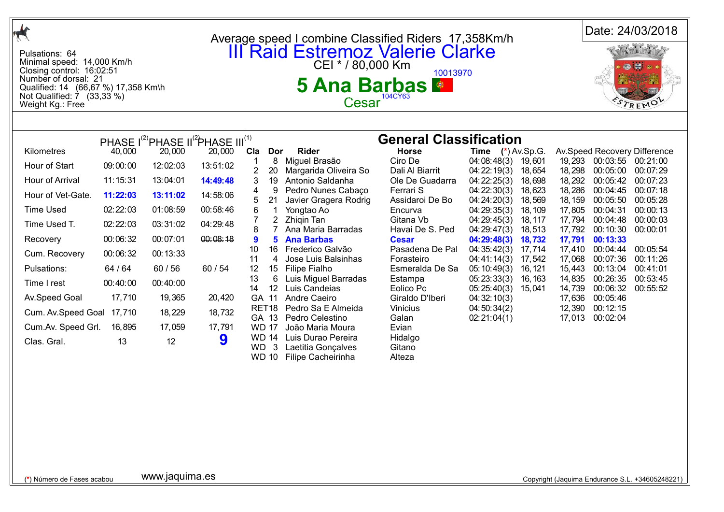| $\frac{1}{\sqrt{2}}$                                                                                                                                                                                    |                      |                                                                                   |                      |                                     | Average speed I combine Classified Riders 17,358Km/h                           |                                                          |                                           |                              |                            |                                  | Date: 24/03/2018                                |
|---------------------------------------------------------------------------------------------------------------------------------------------------------------------------------------------------------|----------------------|-----------------------------------------------------------------------------------|----------------------|-------------------------------------|--------------------------------------------------------------------------------|----------------------------------------------------------|-------------------------------------------|------------------------------|----------------------------|----------------------------------|-------------------------------------------------|
| Pulsations: 64<br>Minimal speed: 14,000 Km/h<br>Closing control: 16:02:51<br>Number of dorsal: 21<br>Qualified: 14 (66,67 %) 17,358 Km\h<br>Not Qualified: $\overline{7}$ (33,33 %)<br>Weight Kg.: Free |                      |                                                                                   |                      |                                     | <b>III Raid Estremoz Valerie Clarke</b><br>CEI * / 80,000 Km<br>5 Ana Barbas ● | 10013970<br>Cesar <sup>104CY63</sup>                     |                                           |                              |                            |                                  |                                                 |
|                                                                                                                                                                                                         |                      |                                                                                   |                      |                                     |                                                                                |                                                          |                                           |                              |                            |                                  |                                                 |
| Kilometres                                                                                                                                                                                              | 40,000               | PHASE I <sup>(2)</sup> PHASE II <sup>(2</sup> )PHASE III <sup>(1)</sup><br>20,000 | 20,000               | Cla<br>Dor<br>8                     | <b>Rider</b><br>Miguel Brasão                                                  | <b>General Classification</b><br><b>Horse</b><br>Ciro De | <b>Time</b> $(*)$ Av.Sp.G.<br>04:08:48(3) | 19,601                       |                            | 19,293 00:03:55 00:21:00         | Av.Speed Recovery Difference                    |
| Hour of Start<br>Hour of Arrival                                                                                                                                                                        | 09:00:00<br>11:15:31 | 12:02:03<br>13:04:01                                                              | 13:51:02<br>14:49:48 | $\overline{2}$<br>20<br>3           | Margarida Oliveira So<br>19 Antonio Saldanha                                   | Dali Al Biarrit<br>Ole De Guadarra                       | 04:22:19(3)<br>04:22:25(3)                | 18,654<br>18,698             | 18,298<br>18,292           | 00:05:00<br>00:05:42             | 00:07:29<br>00:07:23                            |
| Hour of Vet-Gate.                                                                                                                                                                                       | 11:22:03             | 13:11:02                                                                          | 14:58:06             | 9<br>4<br>21<br>5                   | Pedro Nunes Cabaço<br>Javier Gragera Rodrig                                    | Ferrari S<br>Assidaroi De Bo                             | 04:22:30(3)<br>04:24:20(3)                | 18,623<br>18,569             | 18,286<br>18, 159          | 00:04:45<br>00:05:50             | 00:07:18<br>00:05:28                            |
| <b>Time Used</b><br>Time Used T.                                                                                                                                                                        | 02:22:03<br>02:22:03 | 01:08:59<br>03:31:02                                                              | 00:58:46<br>04:29:48 | 6<br>-1<br>2<br>8<br>$\overline{7}$ | Yongtao Ao<br>Zhiqin Tan<br>Ana Maria Barradas                                 | Encurva<br>Gitana Vb<br>Havai De S. Ped                  | 04:29:35(3)<br>04:29:45(3)<br>04:29:47(3) | 18, 109<br>18, 117<br>18,513 | 17,805<br>17,794<br>17,792 | 00:04:31<br>00:04:48<br>00:10:30 | 00:00:13<br>00:00:03<br>00:00:01                |
| Recovery<br>Cum. Recovery                                                                                                                                                                               | 00:06:32<br>00:06:32 | 00:07:01<br>00:13:33                                                              | 00:08:18             | 5<br>9<br>10<br>11<br>4             | <b>Ana Barbas</b><br>16 Frederico Galvão<br>Jose Luis Balsinhas                | <b>Cesar</b><br>Pasadena De Pal<br>Forasteiro            | 04:29:48(3)<br>04:35:42(3)<br>04:41:14(3) | 18,732<br>17,714<br>17,542   | 17,791<br>17,410<br>17,068 | 00:13:33<br>00:04:44<br>00:07:36 | 00:05:54<br>00:11:26                            |
| Pulsations:<br>Time I rest                                                                                                                                                                              | 64 / 64<br>00:40:00  | 60 / 56<br>00:40:00                                                               | 60 / 54              | 12<br>13<br>6                       | 15 Filipe Fialho<br>Luis Miguel Barradas                                       | Esmeralda De Sa<br>Estampa                               | 05:10:49(3)<br>05:23:33(3)                | 16, 121<br>16, 163           | 15,443<br>14,835           | 00:13:04<br>00:26:35             | 00:41:01<br>00:53:45                            |
| Av.Speed Goal                                                                                                                                                                                           | 17,710               | 19,365                                                                            | 20,420               | 14<br>GA 11                         | 12 Luis Candeias<br>Andre Caeiro                                               | Eolico Pc<br>Giraldo D'Iberi                             | 05:25:40(3)<br>04:32:10(3)                | 15,041                       | 14,739<br>17,636           | 00:06:32<br>00:05:46             | 00:55:52                                        |
| Cum. Av. Speed Goal                                                                                                                                                                                     | 17,710               | 18,229                                                                            | 18,732               | RET <sub>18</sub><br>GA 13          | Pedro Sa E Almeida<br>Pedro Celestino                                          | Vinicius<br>Galan                                        | 04:50:34(2)<br>02:21:04(1)                |                              | 12,390<br>17,013           | 00:12:15<br>00:02:04             |                                                 |
| Cum.Av. Speed Grl.                                                                                                                                                                                      | 16,895               | 17,059                                                                            | 17,791               | <b>WD 17</b><br><b>WD 14</b>        | João Maria Moura<br>Luis Durao Pereira                                         | Evian<br>Hidalgo                                         |                                           |                              |                            |                                  |                                                 |
| Clas. Gral.                                                                                                                                                                                             | 13                   | 12                                                                                | 9                    | WD.<br>$\mathbf{3}$<br><b>WD 10</b> | Laetitia Gonçalves<br>Filipe Cacheirinha                                       | Gitano<br>Alteza                                         |                                           |                              |                            |                                  |                                                 |
| (*) Número de Fases acabou                                                                                                                                                                              |                      | www.jaquima.es                                                                    |                      |                                     |                                                                                |                                                          |                                           |                              |                            |                                  | Copyright (Jaquima Endurance S.L. +34605248221) |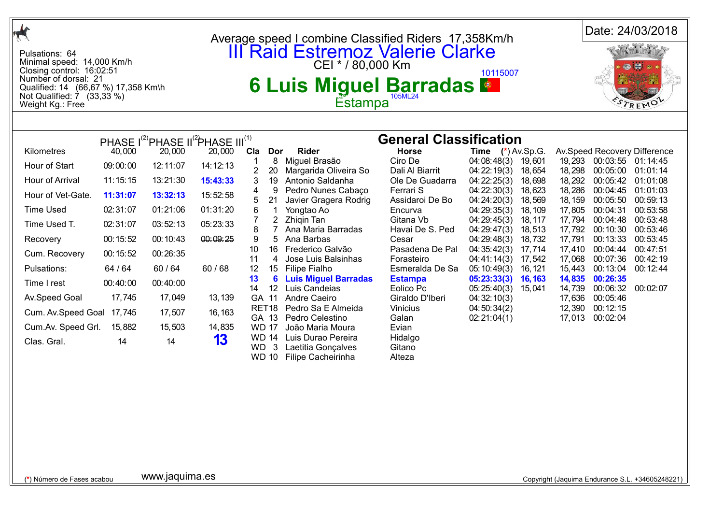| $\frac{1}{\sqrt{2}}$                                                                                                                                                                               |          |                |                                                                                   |                                     | Average speed I combine Classified Riders 17,358Km/h                                                           |                                               |                            |                   |                   |                             | Date: 24/03/2018                                |
|----------------------------------------------------------------------------------------------------------------------------------------------------------------------------------------------------|----------|----------------|-----------------------------------------------------------------------------------|-------------------------------------|----------------------------------------------------------------------------------------------------------------|-----------------------------------------------|----------------------------|-------------------|-------------------|-----------------------------|-------------------------------------------------|
| Pulsations: 64<br>Minimal speed: 14,000 Km/h<br>Closing control: 16:02:51<br>Number of dorsal: 21<br>Qualified: 14 (66,67 %) 17,358 Km\h<br>Not Qualified: $\dot{7}$ (33,33 %)<br>Weight Kg.: Free |          |                |                                                                                   |                                     | <b>III Raid Estremoz Valerie Clarke</b><br>CEI * / 80,000 Km<br><b>6 Luis Miguel Barradas &amp;</b><br>Estampa |                                               | 10115007                   |                   |                   |                             |                                                 |
|                                                                                                                                                                                                    |          |                |                                                                                   |                                     |                                                                                                                |                                               |                            |                   |                   |                             |                                                 |
| Kilometres                                                                                                                                                                                         | 40,000   | 20,000         | PHASE I <sup>(2)</sup> PHASE II <sup>(2</sup> )PHASE III <sup>(1)</sup><br>20,000 | <b>Cla</b><br>Dor                   | <b>Rider</b>                                                                                                   | <b>General Classification</b><br><b>Horse</b> | <b>Time</b> $(*)$ Av.Sp.G. |                   |                   |                             | Av.Speed Recovery Difference                    |
| Hour of Start                                                                                                                                                                                      | 09:00:00 | 12:11:07       | 14:12:13                                                                          | 8<br>$\mathbf 1$                    | Miguel Brasão                                                                                                  | Ciro De                                       | 04:08:48(3)                | 19,601            | 19,293            | 00:03:55 01:14:45           |                                                 |
| Hour of Arrival                                                                                                                                                                                    | 11:15:15 | 13:21:30       | 15:43:33                                                                          | $\overline{c}$<br>20<br>3           | Margarida Oliveira So<br>19 Antonio Saldanha                                                                   | Dali Al Biarrit<br>Ole De Guadarra            | 04:22:19(3)<br>04:22:25(3) | 18,654<br>18,698  | 18,298<br>18,292  | 00:05:00<br>00:05:42        | 01:01:14<br>01:01:08                            |
| Hour of Vet-Gate.                                                                                                                                                                                  | 11:31:07 | 13:32:13       | 15:52:58                                                                          | 9<br>4<br>21<br>5                   | Pedro Nunes Cabaço<br>Javier Gragera Rodrig                                                                    | Ferrari S<br>Assidaroi De Bo                  | 04:22:30(3)<br>04:24:20(3) | 18,623<br>18,569  | 18,286<br>18, 159 | 00:04:45<br>00:05:50        | 01:01:03<br>00:59:13                            |
| <b>Time Used</b>                                                                                                                                                                                   | 02:31:07 | 01:21:06       | 01:31:20                                                                          | 6<br>1                              | Yongtao Ao                                                                                                     | Encurva                                       | 04:29:35(3)                | 18, 109           | 17,805            | 00:04:31                    | 00:53:58                                        |
| Time Used T.                                                                                                                                                                                       | 02:31:07 | 03:52:13       | 05:23:33                                                                          | $\overline{2}$<br>8                 | Zhigin Tan<br>Ana Maria Barradas                                                                               | Gitana Vb<br>Havai De S. Ped                  | 04:29:45(3)<br>04:29:47(3) | 18, 117<br>18,513 | 17,794<br>17,792  | 00:04:48<br>00:10:30        | 00:53:48<br>00:53:46                            |
| Recovery                                                                                                                                                                                           | 00:15:52 | 00:10:43       | 00:09:25                                                                          | 9<br>5                              | Ana Barbas                                                                                                     | Cesar                                         | 04:29:48(3)                | 18,732            | 17,791            | 00:13:33                    | 00:53:45                                        |
| Cum. Recovery                                                                                                                                                                                      | 00:15:52 | 00:26:35       |                                                                                   | 10<br>11<br>4                       | 16 Frederico Galvão<br>Jose Luis Balsinhas                                                                     | Pasadena De Pal<br>Forasteiro                 | 04:35:42(3)<br>04:41:14(3) | 17,714<br>17,542  | 17,410<br>17,068  | 00:04:44<br>00:07:36        | 00:47:51<br>00:42:19                            |
| Pulsations:                                                                                                                                                                                        | 64 / 64  | 60 / 64        | 60/68                                                                             | 12<br>15 <sub>1</sub>               | Filipe Fialho                                                                                                  | Esmeralda De Sa                               | 05:10:49(3)                | 16, 121           | 15,443            | 00:13:04                    | 00:12:44                                        |
| Time I rest                                                                                                                                                                                        | 00:40:00 | 00:40:00       |                                                                                   | 13<br>6<br>14                       | <b>Luis Miguel Barradas</b><br>12 Luis Candeias                                                                | <b>Estampa</b><br>Eolico Pc                   | 05:23:33(3)<br>05:25:40(3) | 16, 163<br>15,041 | 14,835<br>14,739  | 00:26:35<br>00:06:32        | 00:02:07                                        |
| Av.Speed Goal                                                                                                                                                                                      | 17,745   | 17,049         | 13, 139                                                                           | GA 11                               | Andre Caeiro                                                                                                   | Giraldo D'Iberi                               | 04:32:10(3)                |                   |                   | 17,636 00:05:46             |                                                 |
| Cum. Av. Speed Goal 17,745                                                                                                                                                                         |          | 17,507         | 16, 163                                                                           | GA 13                               | RET18 Pedro Sa E Almeida<br>Pedro Celestino                                                                    | Vinicius<br>Galan                             | 04:50:34(2)<br>02:21:04(1) |                   | 12,390            | 00:12:15<br>17,013 00:02:04 |                                                 |
| Cum.Av. Speed Grl.                                                                                                                                                                                 | 15,882   | 15,503         | 14,835                                                                            | <b>WD 17</b>                        | João Maria Moura                                                                                               | Evian                                         |                            |                   |                   |                             |                                                 |
| Clas. Gral.                                                                                                                                                                                        | 14       | 14             | 13                                                                                | WD.<br>$\mathbf{3}$<br><b>WD 10</b> | WD 14 Luis Durao Pereira<br>Laetitia Gonçalves<br>Filipe Cacheirinha                                           | Hidalgo<br>Gitano<br>Alteza                   |                            |                   |                   |                             |                                                 |
|                                                                                                                                                                                                    |          |                |                                                                                   |                                     |                                                                                                                |                                               |                            |                   |                   |                             |                                                 |
|                                                                                                                                                                                                    |          |                |                                                                                   |                                     |                                                                                                                |                                               |                            |                   |                   |                             |                                                 |
|                                                                                                                                                                                                    |          |                |                                                                                   |                                     |                                                                                                                |                                               |                            |                   |                   |                             |                                                 |
|                                                                                                                                                                                                    |          |                |                                                                                   |                                     |                                                                                                                |                                               |                            |                   |                   |                             |                                                 |
|                                                                                                                                                                                                    |          |                |                                                                                   |                                     |                                                                                                                |                                               |                            |                   |                   |                             |                                                 |
| (*) Número de Fases acabou                                                                                                                                                                         |          | www.jaquima.es |                                                                                   |                                     |                                                                                                                |                                               |                            |                   |                   |                             | Copyright (Jaquima Endurance S.L. +34605248221) |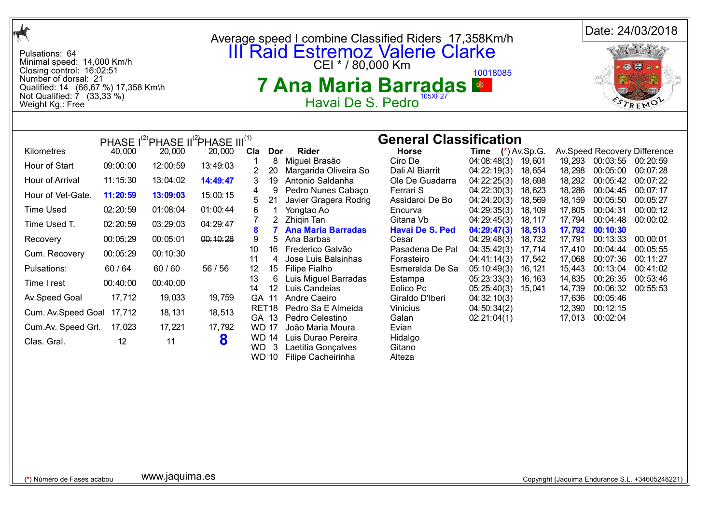| $\frac{1}{\sqrt{2}}$                                                                                                                                                                                                                                   |                                                                                                                                           |                                                                                                                                                                                                                                 |                                                                                                                              |                                                                                                                                                                                                                                                               | Average speed I combine Classified Riders 17,358Km/h                                                                                                                                                                                                                                                                                                                                                                                                                  |                                                                                                                                                                                                                                                                                                                                                       |                                                                                                                                                                                                                                                                                           |                                                                                                                                              |                                                                                                                                           |                                                                                                                                                                                                                                        | Date: 24/03/2018                                                                                                                                                             |
|--------------------------------------------------------------------------------------------------------------------------------------------------------------------------------------------------------------------------------------------------------|-------------------------------------------------------------------------------------------------------------------------------------------|---------------------------------------------------------------------------------------------------------------------------------------------------------------------------------------------------------------------------------|------------------------------------------------------------------------------------------------------------------------------|---------------------------------------------------------------------------------------------------------------------------------------------------------------------------------------------------------------------------------------------------------------|-----------------------------------------------------------------------------------------------------------------------------------------------------------------------------------------------------------------------------------------------------------------------------------------------------------------------------------------------------------------------------------------------------------------------------------------------------------------------|-------------------------------------------------------------------------------------------------------------------------------------------------------------------------------------------------------------------------------------------------------------------------------------------------------------------------------------------------------|-------------------------------------------------------------------------------------------------------------------------------------------------------------------------------------------------------------------------------------------------------------------------------------------|----------------------------------------------------------------------------------------------------------------------------------------------|-------------------------------------------------------------------------------------------------------------------------------------------|----------------------------------------------------------------------------------------------------------------------------------------------------------------------------------------------------------------------------------------|------------------------------------------------------------------------------------------------------------------------------------------------------------------------------|
| Pulsations: 64<br>Minimal speed: 14,000 Km/h<br>Closing control: 16:02:51<br>Number of dorsal: 21<br>Qualified: 14 (66,67 %) 17,358 Km\h<br>Not Qualified: $\overline{7}$ (33,33 %)<br>Weight Kg.: Free                                                |                                                                                                                                           |                                                                                                                                                                                                                                 |                                                                                                                              |                                                                                                                                                                                                                                                               | <b>III Raid Estremoz Valerie Clarke</b><br>CEI * / 80,000 Km<br>7 Ana Maria Barradas ●<br>Havai De S. Pedro                                                                                                                                                                                                                                                                                                                                                           | 105XF27                                                                                                                                                                                                                                                                                                                                               | 10018085                                                                                                                                                                                                                                                                                  |                                                                                                                                              |                                                                                                                                           |                                                                                                                                                                                                                                        | REMO                                                                                                                                                                         |
|                                                                                                                                                                                                                                                        |                                                                                                                                           |                                                                                                                                                                                                                                 |                                                                                                                              |                                                                                                                                                                                                                                                               |                                                                                                                                                                                                                                                                                                                                                                                                                                                                       |                                                                                                                                                                                                                                                                                                                                                       |                                                                                                                                                                                                                                                                                           |                                                                                                                                              |                                                                                                                                           |                                                                                                                                                                                                                                        |                                                                                                                                                                              |
| Kilometres<br>Hour of Start<br>Hour of Arrival<br>Hour of Vet-Gate.<br><b>Time Used</b><br>Time Used T.<br>Recovery<br>Cum. Recovery<br>Pulsations:<br>Time I rest<br>Av.Speed Goal<br>Cum. Av. Speed Goal 17,712<br>Cum.Av. Speed Grl.<br>Clas. Gral. | 40,000<br>09:00:00<br>11:15:30<br>11:20:59<br>02:20:59<br>02:20:59<br>00:05:29<br>00:05:29<br>60/64<br>00:40:00<br>17,712<br>17,023<br>12 | PHASE I <sup>(2)</sup> PHASE II <sup>(2</sup> )PHASE III <sup>(1)</sup><br>20,000<br>12:00:59<br>13:04:02<br>13:09:03<br>01:08:04<br>03:29:03<br>00:05:01<br>00:10:30<br>60/60<br>00:40:00<br>19,033<br>18, 131<br>17,221<br>11 | 20,000<br>13:49:03<br>14:49:47<br>15:00:15<br>01:00:44<br>04:29:47<br>00:10:28<br>56 / 56<br>19,759<br>18,513<br>17,792<br>8 | Cla<br>Dor<br>2<br>20<br>19<br>3<br>4<br>9<br>21<br>6<br>1<br>$\overline{2}$<br>$\overline{7}$<br>8<br>9<br>5<br>10<br>11<br>4<br>12<br>15<br>13<br>6<br>14<br>12 <sup>2</sup><br>GA 11<br>GA 13<br><b>WD 17</b><br><b>WD</b><br>$\mathbf{3}$<br><b>WD 10</b> | <b>Rider</b><br>8 Miguel Brasão<br>Margarida Oliveira So<br>Antonio Saldanha<br>Pedro Nunes Cabaço<br>Javier Gragera Rodrig<br>Yongtao Ao<br>Zhigin Tan<br><b>Ana Maria Barradas</b><br>Ana Barbas<br>16 Frederico Galvão<br>Jose Luis Balsinhas<br>Filipe Fialho<br>Luis Miguel Barradas<br>Luis Candeias<br>Andre Caeiro<br>RET18 Pedro Sa E Almeida<br>Pedro Celestino<br>João Maria Moura<br>WD 14 Luis Durao Pereira<br>Laetitia Gonçalves<br>Filipe Cacheirinha | <b>General Classification</b><br><b>Horse</b><br>Ciro De<br>Dali Al Biarrit<br>Ole De Guadarra<br>Ferrari S<br>Assidaroi De Bo<br>Encurva<br>Gitana Vb<br><b>Havai De S. Ped</b><br>Cesar<br>Pasadena De Pal<br>Forasteiro<br>Esmeralda De Sa<br>Estampa<br>Eolico Pc<br>Giraldo D'Iberi<br>Vinicius<br>Galan<br>Evian<br>Hidalgo<br>Gitano<br>Alteza | <b>Time</b> $(*)$ Av.Sp.G.<br>04:08:48(3)<br>04:22:19(3)<br>04:22:25(3)<br>04:22:30(3)<br>04:24:20(3)<br>04:29:35(3)<br>04:29:45(3)<br>04:29:47(3)<br>04:29:48(3)<br>04:35:42(3)<br>04:41:14(3)<br>05:10:49(3)<br>05:23:33(3)<br>05:25:40(3)<br>04:32:10(3)<br>04:50:34(2)<br>02:21:04(1) | 19,601<br>18,654<br>18,698<br>18,623<br>18,569<br>18, 109<br>18, 117<br>18,513<br>18,732<br>17,714<br>17,542<br>16, 121<br>16, 163<br>15,041 | 18,298<br>18,292<br>18,286<br>18, 159<br>17,805<br>17,794<br>17,792<br>17,791<br>17,410<br>17,068<br>15,443<br>14,835<br>14,739<br>17,636 | 19,293 00:03:55 00:20:59<br>00:05:00<br>00:05:42<br>00:04:45<br>00:05:50<br>00:04:31<br>00:04:48<br>00:10:30<br>00:13:33<br>00:04:44<br>00:07:36<br>00:13:04<br>00:26:35<br>00:06:32<br>00:05:46<br>12,390 00:12:15<br>17,013 00:02:04 | Av.Speed Recovery Difference<br>00:07:28<br>00:07:22<br>00:07:17<br>00:05:27<br>00:00:12<br>00:00:02<br>00:00:01<br>00:05:55<br>00:11:27<br>00:41:02<br>00:53:46<br>00:55:53 |
|                                                                                                                                                                                                                                                        |                                                                                                                                           |                                                                                                                                                                                                                                 |                                                                                                                              |                                                                                                                                                                                                                                                               |                                                                                                                                                                                                                                                                                                                                                                                                                                                                       |                                                                                                                                                                                                                                                                                                                                                       |                                                                                                                                                                                                                                                                                           |                                                                                                                                              |                                                                                                                                           |                                                                                                                                                                                                                                        |                                                                                                                                                                              |
| (*) Número de Fases acabou                                                                                                                                                                                                                             |                                                                                                                                           | www.jaquima.es                                                                                                                                                                                                                  |                                                                                                                              |                                                                                                                                                                                                                                                               |                                                                                                                                                                                                                                                                                                                                                                                                                                                                       |                                                                                                                                                                                                                                                                                                                                                       |                                                                                                                                                                                                                                                                                           |                                                                                                                                              |                                                                                                                                           |                                                                                                                                                                                                                                        | Copyright (Jaquima Endurance S.L. +34605248221)                                                                                                                              |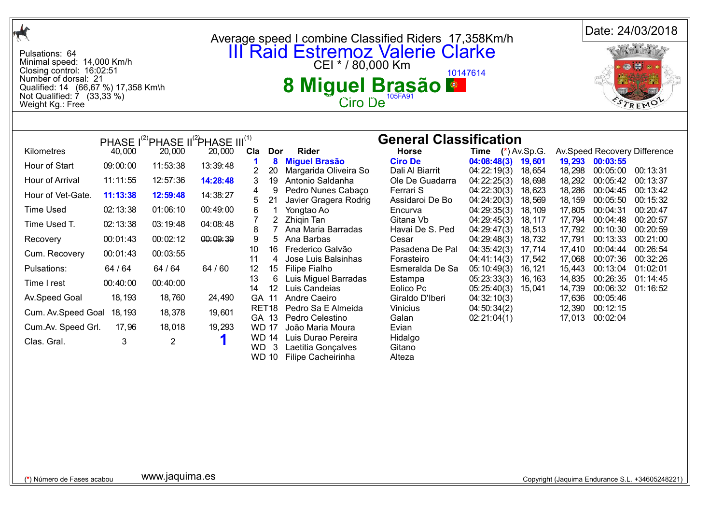| $\mathcal{A}$                                                                                                                                                                                      |          |                |                                                                         |                                                                                                                                                                          |                                                                |                                   |                            |                   |                   |                                    | Date: 24/03/2018                                |
|----------------------------------------------------------------------------------------------------------------------------------------------------------------------------------------------------|----------|----------------|-------------------------------------------------------------------------|--------------------------------------------------------------------------------------------------------------------------------------------------------------------------|----------------------------------------------------------------|-----------------------------------|----------------------------|-------------------|-------------------|------------------------------------|-------------------------------------------------|
| Pulsations: 64<br>Minimal speed: 14,000 Km/h<br>Closing control: 16:02:51<br>Number of dorsal: 21<br>Qualified: 14 (66,67 %) 17,358 Km\h<br>Not Qualified: $\dot{7}$ (33,33 %)<br>Weight Kg.: Free |          |                |                                                                         | Average speed I combine Classified Riders 17,358Km/h<br><b>III Raid Estremoz Valerie Clarke</b><br>CEI * / 80,000 Km<br>10147614<br>Miguel Brasão<br>8<br><b>Ciro De</b> |                                                                |                                   |                            | TREMO             |                   |                                    |                                                 |
|                                                                                                                                                                                                    |          |                |                                                                         |                                                                                                                                                                          |                                                                |                                   |                            |                   |                   |                                    |                                                 |
|                                                                                                                                                                                                    |          |                | PHASE I <sup>(2)</sup> PHASE II <sup>(2</sup> )PHASE III <sup>(1)</sup> |                                                                                                                                                                          |                                                                | <b>General Classification</b>     |                            |                   |                   |                                    |                                                 |
| Kilometres                                                                                                                                                                                         | 40,000   | 20,000         | 20,000                                                                  | Cla<br>Dor                                                                                                                                                               | Rider                                                          | <b>Horse</b>                      | <b>Time</b>                | $(*)$ Av.Sp.G.    |                   |                                    | Av.Speed Recovery Difference                    |
| Hour of Start                                                                                                                                                                                      | 09:00:00 | 11:53:38       | 13:39:48                                                                | $\boldsymbol{8}$<br>-1<br>$\overline{2}$<br>20                                                                                                                           | <b>Miguel Brasão</b><br>Margarida Oliveira So                  | <b>Ciro De</b><br>Dali Al Biarrit | 04:08:48(3)<br>04:22:19(3) | 19,601<br>18,654  | 18,298            | 19,293 00:03:55<br>00:05:00        | 00:13:31                                        |
| Hour of Arrival                                                                                                                                                                                    | 11:11:55 | 12:57:36       | 14:28:48                                                                | 3<br>19                                                                                                                                                                  | Antonio Saldanha                                               | Ole De Guadarra                   | 04:22:25(3)                | 18,698            | 18,292            | 00:05:42                           | 00:13:37                                        |
| Hour of Vet-Gate.                                                                                                                                                                                  | 11:13:38 | 12:59:48       | 14:38:27                                                                | 9<br>4<br>21<br>5                                                                                                                                                        | Pedro Nunes Cabaço<br>Javier Gragera Rodrig                    | Ferrari S<br>Assidaroi De Bo      | 04:22:30(3)<br>04:24:20(3) | 18,623<br>18,569  | 18,286<br>18, 159 | 00:04:45<br>00:05:50               | 00:13:42<br>00:15:32                            |
| <b>Time Used</b>                                                                                                                                                                                   | 02:13:38 | 01:06:10       | 00:49:00                                                                | 6<br>-1                                                                                                                                                                  | Yongtao Ao                                                     | Encurva                           | 04:29:35(3)                | 18, 109           | 17,805            | 00:04:31                           | 00:20:47                                        |
| Time Used T.                                                                                                                                                                                       | 02:13:38 | 03:19:48       | 04:08:48                                                                | $\overline{2}$<br>8                                                                                                                                                      | Zhigin Tan<br>Ana Maria Barradas                               | Gitana Vb<br>Havai De S. Ped      | 04:29:45(3)<br>04:29:47(3) | 18, 117<br>18,513 | 17,794<br>17,792  | 00:04:48<br>00:10:30               | 00:20:57<br>00:20:59                            |
| Recovery                                                                                                                                                                                           | 00:01:43 | 00:02:12       | 00:09:39                                                                | 9<br>5                                                                                                                                                                   | Ana Barbas                                                     | Cesar                             | 04:29:48(3)                | 18,732            | 17,791            | 00:13:33                           | 00:21:00                                        |
| Cum. Recovery                                                                                                                                                                                      | 00:01:43 | 00:03:55       |                                                                         | 10<br>16                                                                                                                                                                 | Frederico Galvão                                               | Pasadena De Pal                   | 04:35:42(3)                | 17,714            | 17,410            | 00:04:44                           | 00:26:54                                        |
| Pulsations:                                                                                                                                                                                        | 64 / 64  | 64 / 64        | 64 / 60                                                                 | 11<br>4<br>12<br>15                                                                                                                                                      | Jose Luis Balsinhas<br>Filipe Fialho                           | Forasteiro<br>Esmeralda De Sa     | 04:41:14(3)<br>05:10:49(3) | 17,542<br>16, 121 | 17,068<br>15,443  | 00:07:36<br>00:13:04               | 00:32:26<br>01:02:01                            |
| Time I rest                                                                                                                                                                                        | 00:40:00 | 00:40:00       |                                                                         | 13<br>6<br>14<br>12                                                                                                                                                      | Luis Miguel Barradas<br>Luis Candeias                          | Estampa<br>Eolico Pc              | 05:23:33(3)<br>05:25:40(3) | 16, 163<br>15,041 | 14,835<br>14,739  | 00:26:35<br>00:06:32               | 01:14:45<br>01:16:52                            |
| Av.Speed Goal                                                                                                                                                                                      | 18, 193  | 18,760         | 24,490                                                                  | GA 11                                                                                                                                                                    | Andre Caeiro                                                   | Giraldo D'Iberi                   | 04:32:10(3)                |                   |                   | 17,636 00:05:46                    |                                                 |
| Cum. Av. Speed Goal                                                                                                                                                                                | 18, 193  | 18,378         | 19,601                                                                  | GA 13                                                                                                                                                                    | RET18 Pedro Sa E Almeida<br>Pedro Celestino                    | Vinicius<br>Galan                 | 04:50:34(2)<br>02:21:04(1) |                   |                   | 12,390 00:12:15<br>17,013 00:02:04 |                                                 |
| Cum.Av. Speed Grl.                                                                                                                                                                                 | 17,96    | 18,018         | 19,293                                                                  | <b>WD 17</b>                                                                                                                                                             | João Maria Moura                                               | Evian                             |                            |                   |                   |                                    |                                                 |
| Clas. Gral.                                                                                                                                                                                        | 3        | $\overline{2}$ |                                                                         | WD 14<br>WD <sub>3</sub><br><b>WD 10</b>                                                                                                                                 | Luis Durao Pereira<br>Laetitia Gonçalves<br>Filipe Cacheirinha | Hidalgo<br>Gitano<br>Alteza       |                            |                   |                   |                                    |                                                 |
|                                                                                                                                                                                                    |          |                |                                                                         |                                                                                                                                                                          |                                                                |                                   |                            |                   |                   |                                    |                                                 |
|                                                                                                                                                                                                    |          |                |                                                                         |                                                                                                                                                                          |                                                                |                                   |                            |                   |                   |                                    |                                                 |
|                                                                                                                                                                                                    |          |                |                                                                         |                                                                                                                                                                          |                                                                |                                   |                            |                   |                   |                                    |                                                 |
|                                                                                                                                                                                                    |          |                |                                                                         |                                                                                                                                                                          |                                                                |                                   |                            |                   |                   |                                    |                                                 |
|                                                                                                                                                                                                    |          |                |                                                                         |                                                                                                                                                                          |                                                                |                                   |                            |                   |                   |                                    |                                                 |
| (*) Número de Fases acabou                                                                                                                                                                         |          | www.jaquima.es |                                                                         |                                                                                                                                                                          |                                                                |                                   |                            |                   |                   |                                    | Copyright (Jaquima Endurance S.L. +34605248221) |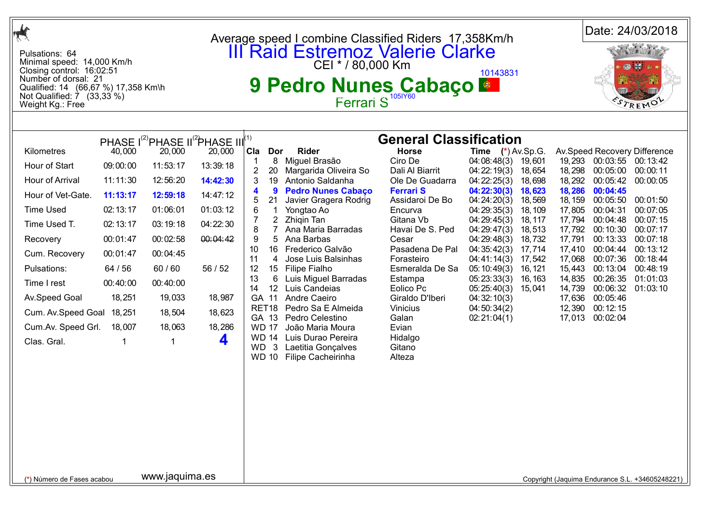| $\frac{1}{\sqrt{2}}$                                                                                                                                                                               |          |                |                                                                         |                                                                                                                                     |                                                                |                                     |                                           |                     |                  |                                    | Date: 24/03/2018                                |
|----------------------------------------------------------------------------------------------------------------------------------------------------------------------------------------------------|----------|----------------|-------------------------------------------------------------------------|-------------------------------------------------------------------------------------------------------------------------------------|----------------------------------------------------------------|-------------------------------------|-------------------------------------------|---------------------|------------------|------------------------------------|-------------------------------------------------|
| Pulsations: 64<br>Minimal speed: 14,000 Km/h<br>Closing control: 16:02:51<br>Number of dorsal: 21<br>Qualified: 14 (66,67 %) 17,358 Km\h<br>Not Qualified: $\dot{7}$ (33,33 %)<br>Weight Kg.: Free |          |                |                                                                         | Average speed I combine Classified Riders 17,358Km/h<br><b>III Raid Estremoz Valerie Clarke</b><br>10143831<br>9 Pedro Nunes Cabaço |                                                                |                                     |                                           | Radio La B<br>TREMO |                  |                                    |                                                 |
|                                                                                                                                                                                                    |          |                |                                                                         |                                                                                                                                     |                                                                |                                     |                                           |                     |                  |                                    |                                                 |
|                                                                                                                                                                                                    |          |                | PHASE I <sup>(2)</sup> PHASE II <sup>(2</sup> )PHASE III <sup>(1)</sup> |                                                                                                                                     |                                                                | <b>General Classification</b>       |                                           |                     |                  |                                    |                                                 |
| Kilometres                                                                                                                                                                                         | 40,000   | 20,000         | 20,000                                                                  | Cla<br>Dor                                                                                                                          | <b>Rider</b><br>8 Miguel Brasão                                | <b>Horse</b><br>Ciro De             | <b>Time</b> $(*)$ Av.Sp.G.<br>04:08:48(3) | 19,601              |                  | 19,293 00:03:55 00:13:42           | Av.Speed Recovery Difference                    |
| Hour of Start                                                                                                                                                                                      | 09:00:00 | 11:53:17       | 13:39:18                                                                | 20                                                                                                                                  | Margarida Oliveira So                                          | Dali Al Biarrit                     | 04:22:19(3)                               | 18,654              | 18,298           | 00:05:00                           | 00:00:11                                        |
| Hour of Arrival                                                                                                                                                                                    | 11:11:30 | 12:56:20       | 14:42:30                                                                | 3<br>19<br>9<br>4                                                                                                                   | Antonio Saldanha<br><b>Pedro Nunes Cabaço</b>                  | Ole De Guadarra<br><b>Ferrari S</b> | 04:22:25(3)<br>04:22:30(3)                | 18,698<br>18,623    | 18,292<br>18,286 | 00:05:42<br>00:04:45               | 00:00:05                                        |
| Hour of Vet-Gate.                                                                                                                                                                                  | 11:13:17 | 12:59:18       | 14:47:12                                                                | 21<br>5                                                                                                                             | Javier Gragera Rodrig                                          | Assidaroi De Bo                     | 04:24:20(3)                               | 18,569              | 18, 159          | 00:05:50                           | 00:01:50                                        |
| <b>Time Used</b>                                                                                                                                                                                   | 02:13:17 | 01:06:01       | 01:03:12                                                                | 6<br>1<br>2                                                                                                                         | Yongtao Ao<br>Zhigin Tan                                       | Encurva<br>Gitana Vb                | 04:29:35(3)                               | 18, 109             | 17,805           | 00:04:31                           | 00:07:05<br>00:07:15                            |
| Time Used T.                                                                                                                                                                                       | 02:13:17 | 03:19:18       | 04:22:30                                                                | 8<br>7                                                                                                                              | Ana Maria Barradas                                             | Havai De S. Ped                     | 04:29:45(3)<br>04:29:47(3)                | 18, 117<br>18,513   | 17,794<br>17,792 | 00:04:48<br>00:10:30               | 00:07:17                                        |
| Recovery                                                                                                                                                                                           | 00:01:47 | 00:02:58       | 00:04:42                                                                | 9<br>5                                                                                                                              | Ana Barbas                                                     | Cesar                               | 04:29:48(3)                               | 18,732              | 17,791           | 00:13:33                           | 00:07:18                                        |
| Cum. Recovery                                                                                                                                                                                      | 00:01:47 | 00:04:45       |                                                                         | 10<br>11<br>4                                                                                                                       | 16 Frederico Galvão<br>Jose Luis Balsinhas                     | Pasadena De Pal<br>Forasteiro       | 04:35:42(3)<br>04:41:14(3)                | 17,714<br>17,542    | 17,410<br>17,068 | 00:04:44<br>00:07:36               | 00:13:12<br>00:18:44                            |
| Pulsations:                                                                                                                                                                                        | 64 / 56  | 60/60          | 56 / 52                                                                 | 12<br>15                                                                                                                            | Filipe Fialho                                                  | Esmeralda De Sa                     | 05:10:49(3)                               | 16, 121             | 15,443           | 00:13:04                           | 00:48:19                                        |
| Time I rest                                                                                                                                                                                        | 00:40:00 | 00:40:00       |                                                                         | 13<br>6<br>14<br>12                                                                                                                 | Luis Miguel Barradas<br>Luis Candeias                          | Estampa<br>Eolico Pc                | 05:23:33(3)<br>05:25:40(3)                | 16, 163<br>15,041   | 14,835<br>14,739 | 00:26:35<br>00:06:32               | 01:01:03<br>01:03:10                            |
| Av.Speed Goal                                                                                                                                                                                      | 18,251   | 19,033         | 18,987                                                                  | GA 11                                                                                                                               | Andre Caeiro                                                   | Giraldo D'Iberi                     | 04:32:10(3)                               |                     |                  | 17,636 00:05:46                    |                                                 |
| Cum. Av. Speed Goal                                                                                                                                                                                | 18,251   | 18,504         | 18,623                                                                  | GA 13                                                                                                                               | RET18 Pedro Sa E Almeida<br>Pedro Celestino                    | Vinicius<br>Galan                   | 04:50:34(2)<br>02:21:04(1)                |                     |                  | 12,390 00:12:15<br>17,013 00:02:04 |                                                 |
| Cum.Av. Speed Grl.                                                                                                                                                                                 | 18,007   | 18,063         | 18,286                                                                  | <b>WD 17</b>                                                                                                                        | João Maria Moura                                               | Evian                               |                                           |                     |                  |                                    |                                                 |
| Clas. Gral.                                                                                                                                                                                        |          | 1              | 4                                                                       | <b>WD 14</b><br><b>WD</b><br>$\mathbf{3}$<br><b>WD 10</b>                                                                           | Luis Durao Pereira<br>Laetitia Gonçalves<br>Filipe Cacheirinha | Hidalgo<br>Gitano<br>Alteza         |                                           |                     |                  |                                    |                                                 |
|                                                                                                                                                                                                    |          |                |                                                                         |                                                                                                                                     |                                                                |                                     |                                           |                     |                  |                                    |                                                 |
|                                                                                                                                                                                                    |          |                |                                                                         |                                                                                                                                     |                                                                |                                     |                                           |                     |                  |                                    |                                                 |
|                                                                                                                                                                                                    |          |                |                                                                         |                                                                                                                                     |                                                                |                                     |                                           |                     |                  |                                    |                                                 |
|                                                                                                                                                                                                    |          |                |                                                                         |                                                                                                                                     |                                                                |                                     |                                           |                     |                  |                                    |                                                 |
| (*) Número de Fases acabou                                                                                                                                                                         |          | www.jaquima.es |                                                                         |                                                                                                                                     |                                                                |                                     |                                           |                     |                  |                                    | Copyright (Jaquima Endurance S.L. +34605248221) |
|                                                                                                                                                                                                    |          |                |                                                                         |                                                                                                                                     |                                                                |                                     |                                           |                     |                  |                                    |                                                 |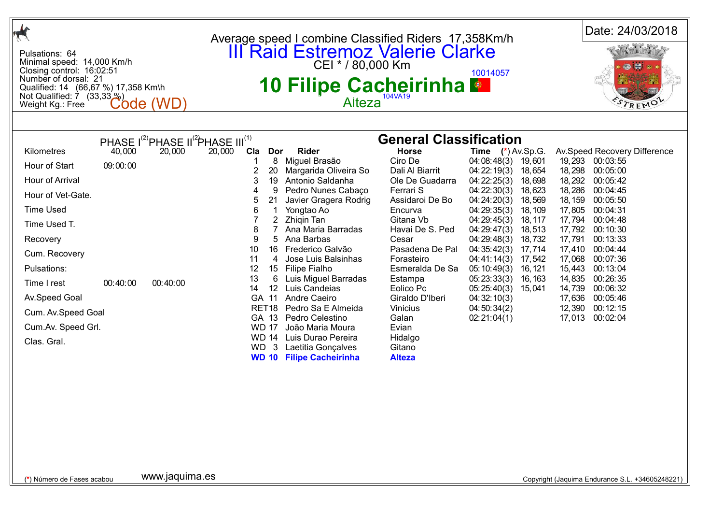| $\frac{1}{\sqrt{2}}$                                                                                                                                                                                                                                                                                                                                                                                           | Average speed I combine Classified Riders 17,358Km/h                                                                                                                                                                                                                                                                                                                                                                                                                                                                                                                                                                                                                                                                                                                                                                                                                                                                                                                                                                                                                                                                                                                                                                                                                                                                                                                                                                                                                                                            | Date: 24/03/2018                                                                                                                                                                                                                                                                                                                                                                                           |
|----------------------------------------------------------------------------------------------------------------------------------------------------------------------------------------------------------------------------------------------------------------------------------------------------------------------------------------------------------------------------------------------------------------|-----------------------------------------------------------------------------------------------------------------------------------------------------------------------------------------------------------------------------------------------------------------------------------------------------------------------------------------------------------------------------------------------------------------------------------------------------------------------------------------------------------------------------------------------------------------------------------------------------------------------------------------------------------------------------------------------------------------------------------------------------------------------------------------------------------------------------------------------------------------------------------------------------------------------------------------------------------------------------------------------------------------------------------------------------------------------------------------------------------------------------------------------------------------------------------------------------------------------------------------------------------------------------------------------------------------------------------------------------------------------------------------------------------------------------------------------------------------------------------------------------------------|------------------------------------------------------------------------------------------------------------------------------------------------------------------------------------------------------------------------------------------------------------------------------------------------------------------------------------------------------------------------------------------------------------|
| Pulsations: 64<br>Minimal speed: 14,000 Km/h<br>Closing control: 16:02:51<br>Number of dorsal: 21<br>Qualified: 14 (66,67 %) 17,358 Km\h<br>Not Qualified: $\overline{7}$ (33,33 $\%$ )<br><b>Code (WD</b><br>Weight Kg.: Free                                                                                                                                                                                 | <b>III</b> Raid Estremoz Valerie Clarke<br>10014057<br>10 Filipe Cacheirinha<br><b>Alteza</b>                                                                                                                                                                                                                                                                                                                                                                                                                                                                                                                                                                                                                                                                                                                                                                                                                                                                                                                                                                                                                                                                                                                                                                                                                                                                                                                                                                                                                   | TREMO                                                                                                                                                                                                                                                                                                                                                                                                      |
|                                                                                                                                                                                                                                                                                                                                                                                                                |                                                                                                                                                                                                                                                                                                                                                                                                                                                                                                                                                                                                                                                                                                                                                                                                                                                                                                                                                                                                                                                                                                                                                                                                                                                                                                                                                                                                                                                                                                                 |                                                                                                                                                                                                                                                                                                                                                                                                            |
| PHASE I <sup>(2)</sup> PHASE II <sup>(2</sup> )PHASE III <sup>(1)</sup><br>Kilometres<br>40,000<br>20,000<br>20,000<br>Hour of Start<br>09:00:00<br>Hour of Arrival<br>Hour of Vet-Gate.<br><b>Time Used</b><br>Time Used T.<br>Recovery<br>Cum. Recovery<br>Pulsations:<br>Time I rest<br>00:40:00<br>00:40:00<br>Av.Speed Goal<br>Cum. Av. Speed Goal<br>Cum.Av. Speed Grl.<br>Clas. Gral.<br>www.jaquima.es | <b>General Classification</b><br>Cla<br><b>Rider</b><br><b>Horse</b><br>Time $(*)$ Av.Sp.G.<br>Dor<br>Miguel Brasão<br>Ciro De<br>8<br>04:08:48(3)<br>19,601<br>$\overline{c}$<br>20<br>Margarida Oliveira So<br>Dali Al Biarrit<br>04:22:19(3)<br>18,654<br>3<br>Antonio Saldanha<br>19<br>Ole De Guadarra<br>04:22:25(3)<br>18,698<br>9<br>Pedro Nunes Cabaço<br>Ferrari S<br>04:22:30(3)<br>4<br>18,623<br>5<br>Javier Gragera Rodrig<br>Assidaroi De Bo<br>04:24:20(3)<br>21<br>18,569<br>6<br>18,109<br>Yongtao Ao<br>Encurva<br>04:29:35(3)<br>$\overline{2}$<br>Zhigin Tan<br>Gitana Vb<br>04:29:45(3)<br>18, 117<br>8<br>Ana Maria Barradas<br>Havai De S. Ped<br>04:29:47(3)<br>18,513<br>5 Ana Barbas<br>9<br>18,732<br>Cesar<br>04:29:48(3)<br>10<br>16 Frederico Galvão<br>Pasadena De Pal<br>04:35:42(3)<br>17,714<br>11<br>Jose Luis Balsinhas<br>4<br>Forasteiro<br>04:41:14(3)<br>17,542<br>12<br>Esmeralda De Sa<br>15 Filipe Fialho<br>05:10:49(3)<br>16, 121<br>13<br>6<br>Luis Miguel Barradas<br>05:23:33(3)<br>Estampa<br>16, 163<br>Luis Candeias<br>14<br>12 <sup>°</sup><br>Eolico Pc<br>05:25:40(3)<br>15,041<br>GA 11 Andre Caeiro<br>Giraldo D'Iberi<br>04:32:10(3)<br>RET18 Pedro Sa E Almeida<br>Vinicius<br>04:50:34(2)<br>Pedro Celestino<br>GA 13<br>Galan<br>02:21:04(1)<br><b>WD 17</b><br>João Maria Moura<br>Evian<br>WD 14 Luis Durao Pereira<br>Hidalgo<br><b>WD</b><br>$\mathbf{3}$<br>Laetitia Gonçalves<br>Gitano<br><b>WD 10 Filipe Cacheirinha</b><br><b>Alteza</b> | Av.Speed Recovery Difference<br>19,293 00:03:55<br>18,298<br>00:05:00<br>18,292<br>00:05:42<br>18,286<br>00:04:45<br>18, 159<br>00:05:50<br>17,805<br>00:04:31<br>17,794<br>00:04:48<br>17,792<br>00:10:30<br>17,791<br>00:13:33<br>17,410<br>00:04:44<br>17,068<br>00:07:36<br>15,443<br>00:13:04<br>14,835<br>00:26:35<br>14,739<br>00:06:32<br>17,636<br>00:05:46<br>12,390 00:12:15<br>17,013 00:02:04 |
| (*) Número de Fases acabou                                                                                                                                                                                                                                                                                                                                                                                     |                                                                                                                                                                                                                                                                                                                                                                                                                                                                                                                                                                                                                                                                                                                                                                                                                                                                                                                                                                                                                                                                                                                                                                                                                                                                                                                                                                                                                                                                                                                 | Copyright (Jaquima Endurance S.L. +34605248221)                                                                                                                                                                                                                                                                                                                                                            |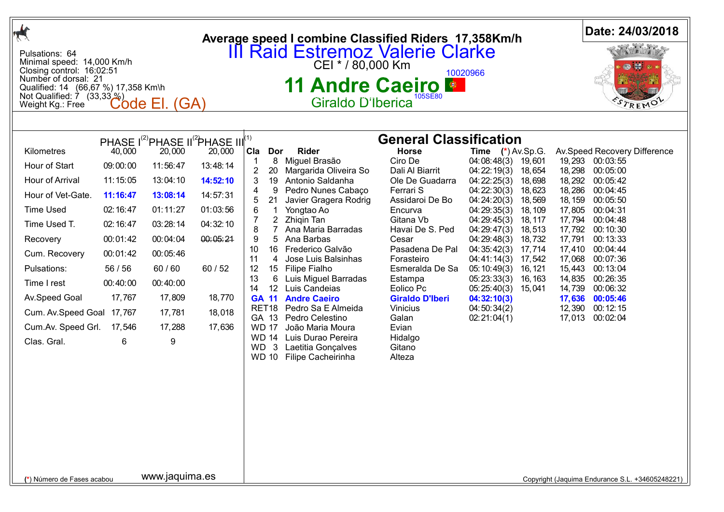| $\frac{1}{\sqrt{2}}$                                                                                                                                                                                                                                    |                                                                                                                                            |                                                                                                                                                    |                                                                                                                                                                                                  | Average speed I combine Classified Riders 17,358Km/h                                                                                                                                                                                                                                                                                                                                                                                                                                                                                                                                                                                                                                                                                                                                                                                                                                                                                                                                                                                                                                                                                                                                                                                                                                                                                                                                                                                                                                                                                            | Date: 24/03/2018                                                                                                                                                                                                                                                                                                                                                                                     |
|---------------------------------------------------------------------------------------------------------------------------------------------------------------------------------------------------------------------------------------------------------|--------------------------------------------------------------------------------------------------------------------------------------------|----------------------------------------------------------------------------------------------------------------------------------------------------|--------------------------------------------------------------------------------------------------------------------------------------------------------------------------------------------------|-------------------------------------------------------------------------------------------------------------------------------------------------------------------------------------------------------------------------------------------------------------------------------------------------------------------------------------------------------------------------------------------------------------------------------------------------------------------------------------------------------------------------------------------------------------------------------------------------------------------------------------------------------------------------------------------------------------------------------------------------------------------------------------------------------------------------------------------------------------------------------------------------------------------------------------------------------------------------------------------------------------------------------------------------------------------------------------------------------------------------------------------------------------------------------------------------------------------------------------------------------------------------------------------------------------------------------------------------------------------------------------------------------------------------------------------------------------------------------------------------------------------------------------------------|------------------------------------------------------------------------------------------------------------------------------------------------------------------------------------------------------------------------------------------------------------------------------------------------------------------------------------------------------------------------------------------------------|
| Pulsations: 64<br>Minimal speed: 14,000 Km/h<br>Closing control: 16:02:51<br>Number of dorsal: 21<br>Qualified: 14 (66,67 %) 17,358 Km\h<br>Not Qualified: 7 (33,33 %)<br>Weight Kg.: Free                                                              |                                                                                                                                            | Code El. (GA)                                                                                                                                      |                                                                                                                                                                                                  | <b>III Raid Estremoz Valerie Clarke</b><br>CEI * / 80,000 Km<br>10020966<br><b>11 Andre Caeiro &amp;</b><br>105SE80<br>Giraldo D'Iberica                                                                                                                                                                                                                                                                                                                                                                                                                                                                                                                                                                                                                                                                                                                                                                                                                                                                                                                                                                                                                                                                                                                                                                                                                                                                                                                                                                                                        |                                                                                                                                                                                                                                                                                                                                                                                                      |
|                                                                                                                                                                                                                                                         |                                                                                                                                            |                                                                                                                                                    |                                                                                                                                                                                                  |                                                                                                                                                                                                                                                                                                                                                                                                                                                                                                                                                                                                                                                                                                                                                                                                                                                                                                                                                                                                                                                                                                                                                                                                                                                                                                                                                                                                                                                                                                                                                 |                                                                                                                                                                                                                                                                                                                                                                                                      |
| Kilometres<br>Hour of Start<br>Hour of Arrival<br>Hour of Vet-Gate.<br><b>Time Used</b><br>Time Used T.<br>Recovery<br>Cum. Recovery<br>Pulsations:<br>Time I rest<br>Av.Speed Goal<br>Cum. Av. Speed Goal 17, 767<br>Cum.Av. Speed Grl.<br>Clas. Gral. | 40,000<br>09:00:00<br>11:15:05<br>11:16:47<br>02:16:47<br>02:16:47<br>00:01:42<br>00:01:42<br>56 / 56<br>00:40:00<br>17,767<br>17,546<br>6 | 20,000<br>11:56:47<br>13:04:10<br>13:08:14<br>01:11:27<br>03:28:14<br>00:04:04<br>00:05:46<br>60/60<br>00:40:00<br>17,809<br>17,781<br>17,288<br>9 | PHASE I <sup>(2)</sup> PHASE II <sup>(2</sup> )PHASE III <sup>(1)</sup><br>20,000<br>13:48:14<br>14:52:10<br>14:57:31<br>01:03:56<br>04:32:10<br>00:05:24<br>60/52<br>18,770<br>18,018<br>17,636 | <b>General Classification</b><br>Cla Dor<br>Rider<br><b>Horse</b><br><b>Time</b> $(*)$ Av.Sp.G.<br>Miguel Brasão<br>Ciro De<br>04:08:48(3)<br>8<br>19,601<br>$\mathbf 1$<br>$\overline{2}$<br>Dali Al Biarrit<br>04:22:19(3)<br>20<br>Margarida Oliveira So<br>18,654<br>Antonio Saldanha<br>04:22:25(3)<br>19<br>Ole De Guadarra<br>3<br>18,698<br>Pedro Nunes Cabaço<br>Ferrari S<br>04:22:30(3)<br>4<br>9<br>18,623<br>21<br>Javier Gragera Rodrig<br>Assidaroi De Bo<br>04:24:20(3)<br>18,569<br>5<br>6<br>Yongtao Ao<br>Encurva<br>04:29:35(3)<br>18, 109<br>-1<br>2 Zhiqin Tan<br>Gitana Vb<br>04:29:45(3)<br>18, 117<br>8<br>7<br>Ana Maria Barradas<br>Havai De S. Ped<br>04:29:47(3)<br>18,513<br>9<br>5<br>Ana Barbas<br>Cesar<br>04:29:48(3)<br>18,732<br>16 Frederico Galvão<br>Pasadena De Pal<br>10<br>04:35:42(3)<br>17,714<br>11<br>Jose Luis Balsinhas<br>Forasteiro<br>4<br>04:41:14(3)<br>17,542<br>12<br>15<br><b>Filipe Fialho</b><br>Esmeralda De Sa<br>05:10:49(3)<br>16, 121<br>13<br>6<br>Luis Miguel Barradas<br>05:23:33(3)<br>Estampa<br>16, 163<br>14<br>Luis Candeias<br>12<br>Eolico Pc<br>05:25:40(3)<br>15,041<br><b>GA 11</b><br><b>Andre Caeiro</b><br><b>Giraldo D'Iberi</b><br>04:32:10(3)<br>RET <sub>18</sub><br>Pedro Sa E Almeida<br>Vinicius<br>04:50:34(2)<br>GA 13<br>Pedro Celestino<br>Galan<br>02:21:04(1)<br><b>WD 17</b><br>João Maria Moura<br>Evian<br><b>WD 14</b><br>Luis Durao Pereira<br>Hidalgo<br>WD 3<br>Laetitia Gonçalves<br>Gitano<br><b>WD 10</b><br>Filipe Cacheirinha<br>Alteza | Av.Speed Recovery Difference<br>19,293 00:03:55<br>18,298<br>00:05:00<br>18,292<br>00:05:42<br>18,286<br>00:04:45<br>18, 159 00:05:50<br>00:04:31<br>17,805<br>17,794<br>00:04:48<br>00:10:30<br>17,792<br>17,791<br>00:13:33<br>00:04:44<br>17,410<br>00:07:36<br>17,068<br>15,443<br>00:13:04<br>14,835<br>00:26:35<br>14,739<br>00:06:32<br>17,636 00:05:46<br>12,390 00:12:15<br>17,013 00:02:04 |
| (*) Número de Fases acabou                                                                                                                                                                                                                              |                                                                                                                                            | www.jaquima.es                                                                                                                                     |                                                                                                                                                                                                  |                                                                                                                                                                                                                                                                                                                                                                                                                                                                                                                                                                                                                                                                                                                                                                                                                                                                                                                                                                                                                                                                                                                                                                                                                                                                                                                                                                                                                                                                                                                                                 | Copyright (Jaquima Endurance S.L. +34605248221)                                                                                                                                                                                                                                                                                                                                                      |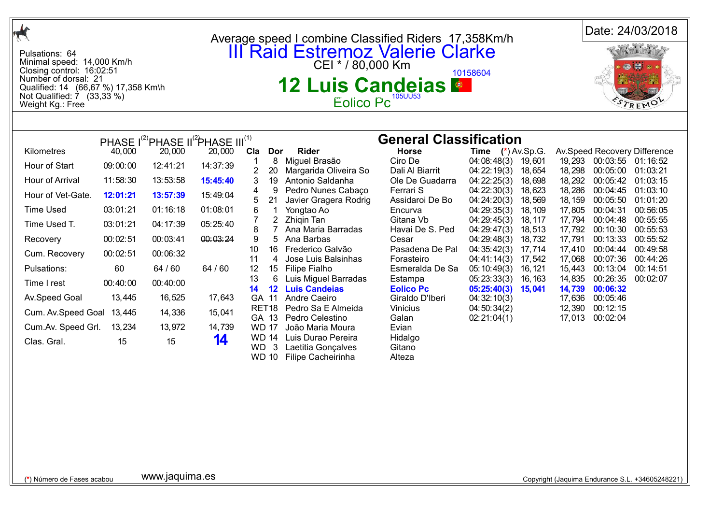| $\mathcal{A}$                                                                                                                                                                                                                                                                                                                                                                                                                                                                                                                                                                                                                          |                                                                                                                                                                                                                                                                                                                                                                                                                                                                                                                                                                                                                                                                                                                                                                                                                                                                     |                                                                                                                                                                                                                                                                                                                                                                                                                                                                                                                                                                                                                                                                                                                                                                                                    | Date: 24/03/2018                                                                                                                                                                                                                                                                                                                                                                                                                                                                                                                                                    |  |  |  |
|----------------------------------------------------------------------------------------------------------------------------------------------------------------------------------------------------------------------------------------------------------------------------------------------------------------------------------------------------------------------------------------------------------------------------------------------------------------------------------------------------------------------------------------------------------------------------------------------------------------------------------------|---------------------------------------------------------------------------------------------------------------------------------------------------------------------------------------------------------------------------------------------------------------------------------------------------------------------------------------------------------------------------------------------------------------------------------------------------------------------------------------------------------------------------------------------------------------------------------------------------------------------------------------------------------------------------------------------------------------------------------------------------------------------------------------------------------------------------------------------------------------------|----------------------------------------------------------------------------------------------------------------------------------------------------------------------------------------------------------------------------------------------------------------------------------------------------------------------------------------------------------------------------------------------------------------------------------------------------------------------------------------------------------------------------------------------------------------------------------------------------------------------------------------------------------------------------------------------------------------------------------------------------------------------------------------------------|---------------------------------------------------------------------------------------------------------------------------------------------------------------------------------------------------------------------------------------------------------------------------------------------------------------------------------------------------------------------------------------------------------------------------------------------------------------------------------------------------------------------------------------------------------------------|--|--|--|
| Pulsations: 64<br>Minimal speed: 14,000 Km/h<br>Closing control: 16:02:51<br>Number of dorsal: 21<br>Qualified: 14 (66,67 %) 17,358 Km\h<br>Not Qualified: $\overline{7}$ (33,33 %)<br>Weight Kg.: Free                                                                                                                                                                                                                                                                                                                                                                                                                                |                                                                                                                                                                                                                                                                                                                                                                                                                                                                                                                                                                                                                                                                                                                                                                                                                                                                     | Average speed I combine Classified Riders 17,358Km/h<br><b>III Raid Estremoz Valerie Clarke</b><br>CEI * / 80,000 Km<br>10158604<br><b>12 Luis Candeias &amp;</b><br>Eolico Pc <sup>105UU53</sup>                                                                                                                                                                                                                                                                                                                                                                                                                                                                                                                                                                                                  |                                                                                                                                                                                                                                                                                                                                                                                                                                                                                                                                                                     |  |  |  |
|                                                                                                                                                                                                                                                                                                                                                                                                                                                                                                                                                                                                                                        |                                                                                                                                                                                                                                                                                                                                                                                                                                                                                                                                                                                                                                                                                                                                                                                                                                                                     |                                                                                                                                                                                                                                                                                                                                                                                                                                                                                                                                                                                                                                                                                                                                                                                                    |                                                                                                                                                                                                                                                                                                                                                                                                                                                                                                                                                                     |  |  |  |
| PHASE I <sup>(2)</sup> PHASE II <sup>(2</sup> PHASE III <sup>(1)</sup><br>Kilometres<br>40,000<br>20,000<br>Hour of Start<br>09:00:00<br>12:41:21<br>Hour of Arrival<br>11:58:30<br>13:53:58<br>Hour of Vet-Gate.<br>12:01:21<br>13:57:39<br><b>Time Used</b><br>03:01:21<br>01:16:18<br>Time Used T.<br>03:01:21<br>04:17:39<br>00:02:51<br>00:03:41<br>Recovery<br>Cum. Recovery<br>00:02:51<br>00:06:32<br>64 / 60<br>Pulsations:<br>60<br>00:40:00<br>00:40:00<br>Time I rest<br>Av.Speed Goal<br>13,445<br>16,525<br>Cum. Av. Speed Goal<br>13,445<br>14,336<br>Cum.Av. Speed Grl.<br>13,234<br>13,972<br>15<br>Clas. Gral.<br>15 | 20,000<br>Cla Dor<br><b>Rider</b><br>8<br>Miguel Brasão<br>14:37:39<br>$\overline{2}$<br>20<br>Margarida Oliveira So<br>3<br>19<br>Antonio Saldanha<br>15:45:40<br>Pedro Nunes Cabaço<br>4<br>9<br>15:49:04<br>21<br>Javier Gragera Rodrig<br>01:08:01<br>6<br>Yongtao Ao<br>-1<br>7<br>$\overline{2}$<br>Zhigin Tan<br>05:25:40<br>8<br>Ana Maria Barradas<br>00:03:24<br>9<br>5<br>Ana Barbas<br>16<br>Frederico Galvão<br>10<br>11<br>Jose Luis Balsinhas<br>4<br>64 / 60<br>12<br>15<br>Filipe Fialho<br>13<br>6<br>Luis Miguel Barradas<br>14<br><b>12 Luis Candeias</b><br>17,643<br>Andre Caeiro<br>GA 11<br>RET <sub>18</sub><br>Pedro Sa E Almeida<br>15,041<br>GA 13<br>Pedro Celestino<br>14,739<br><b>WD 17</b><br>João Maria Moura<br><b>WD 14</b><br>Luis Durao Pereira<br>14<br>3<br>WD.<br>Laetitia Gonçalves<br><b>WD 10</b><br>Filipe Cacheirinha | <b>General Classification</b><br><b>Horse</b><br><b>Time</b> $(*)$ Av.Sp.G.<br>Ciro De<br>04:08:48(3)<br>19,601<br>Dali Al Biarrit<br>04:22:19(3)<br>18,654<br>Ole De Guadarra<br>04:22:25(3)<br>18,698<br>Ferrari S<br>04:22:30(3)<br>18,623<br>Assidaroi De Bo<br>04:24:20(3)<br>18,569<br>Encurva<br>04:29:35(3)<br>18, 109<br>Gitana Vb<br>04:29:45(3)<br>18, 117<br>Havai De S. Ped<br>04:29:47(3)<br>18,513<br>Cesar<br>04:29:48(3)<br>18,732<br>Pasadena De Pal<br>04:35:42(3)<br>17,714<br>Forasteiro<br>04:41:14(3)<br>17,542<br>Esmeralda De Sa<br>05:10:49(3)<br>16, 121<br>Estampa<br>05:23:33(3)<br>16, 163<br><b>Eolico Pc</b><br>05:25:40(3)<br>15,041<br>Giraldo D'Iberi<br>04:32:10(3)<br>Vinicius<br>04:50:34(2)<br>Galan<br>02:21:04(1)<br>Evian<br>Hidalgo<br>Gitano<br>Alteza | Av.Speed Recovery Difference<br>00:03:55 01:16:52<br>19,293<br>18,298<br>00:05:00<br>01:03:21<br>18,292<br>00:05:42<br>01:03:15<br>18,286<br>00:04:45<br>01:03:10<br>18, 159<br>00:05:50<br>01:01:20<br>17,805<br>00:04:31<br>00:56:05<br>17,794<br>00:04:48<br>00:55:55<br>17,792<br>00:55:53<br>00:10:30<br>17,791<br>00:13:33<br>00:55:52<br>00:04:44<br>00:49:58<br>17,410<br>17,068<br>00:07:36<br>00:44:26<br>15,443<br>00:13:04<br>00:14:51<br>14,835<br>00:26:35<br>00:02:07<br>14,739<br>00:06:32<br>17,636 00:05:46<br>12,390 00:12:15<br>17,013 00:02:04 |  |  |  |
| www.jaquima.es<br>(*) Número de Fases acabou                                                                                                                                                                                                                                                                                                                                                                                                                                                                                                                                                                                           |                                                                                                                                                                                                                                                                                                                                                                                                                                                                                                                                                                                                                                                                                                                                                                                                                                                                     |                                                                                                                                                                                                                                                                                                                                                                                                                                                                                                                                                                                                                                                                                                                                                                                                    | Copyright (Jaquima Endurance S.L. +34605248221)                                                                                                                                                                                                                                                                                                                                                                                                                                                                                                                     |  |  |  |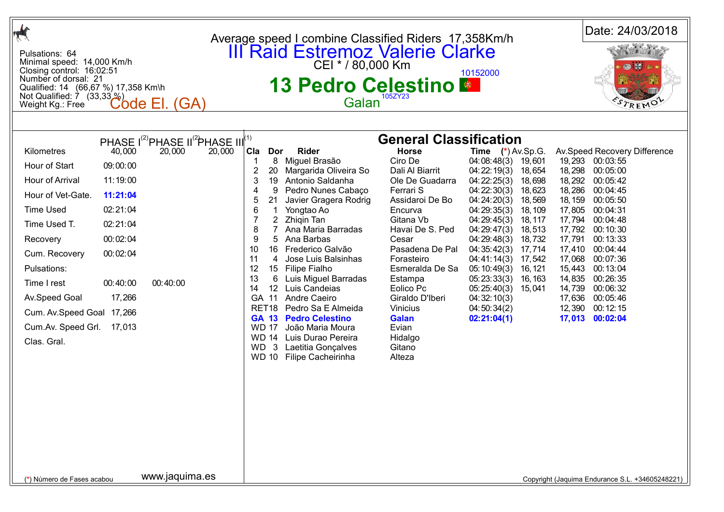| $\frac{1}{\sqrt{2}}$                                                                                                                                                                                                                                                                                                                                                                                                                                                                | Average speed I combine Classified Riders 17,358Km/h                                                                                                                                                                                                                                                                                                                                                                                                                                                                                                                                                                                                                                                                                                                                                                                                                                                                                                                                                                                                                                                                                                                                                                                                                                                                                                                                                                                                                                                                             | Date: 24/03/2018                                                                                                                                                                                                                                                                                                                                                                         |
|-------------------------------------------------------------------------------------------------------------------------------------------------------------------------------------------------------------------------------------------------------------------------------------------------------------------------------------------------------------------------------------------------------------------------------------------------------------------------------------|----------------------------------------------------------------------------------------------------------------------------------------------------------------------------------------------------------------------------------------------------------------------------------------------------------------------------------------------------------------------------------------------------------------------------------------------------------------------------------------------------------------------------------------------------------------------------------------------------------------------------------------------------------------------------------------------------------------------------------------------------------------------------------------------------------------------------------------------------------------------------------------------------------------------------------------------------------------------------------------------------------------------------------------------------------------------------------------------------------------------------------------------------------------------------------------------------------------------------------------------------------------------------------------------------------------------------------------------------------------------------------------------------------------------------------------------------------------------------------------------------------------------------------|------------------------------------------------------------------------------------------------------------------------------------------------------------------------------------------------------------------------------------------------------------------------------------------------------------------------------------------------------------------------------------------|
| Pulsations: 64<br>Minimal speed: 14,000 Km/h<br>Closing control: 16:02:51<br>Number of dorsal: 21<br>Qualified: 14 (66,67 %) 17,358 Km\h<br>Not Qualified: $\overline{7}$ (33,33 $\%$ )<br>Code El. (GA)<br>Weight Kg.: Free                                                                                                                                                                                                                                                        | <b>III Raid Estremoz Valerie Clarke</b><br>CEI * / 80,000 Km<br>10152000<br><b>13 Pedro Celestino &amp;</b><br>105ZY23<br>Galan                                                                                                                                                                                                                                                                                                                                                                                                                                                                                                                                                                                                                                                                                                                                                                                                                                                                                                                                                                                                                                                                                                                                                                                                                                                                                                                                                                                                  | TREMO                                                                                                                                                                                                                                                                                                                                                                                    |
|                                                                                                                                                                                                                                                                                                                                                                                                                                                                                     |                                                                                                                                                                                                                                                                                                                                                                                                                                                                                                                                                                                                                                                                                                                                                                                                                                                                                                                                                                                                                                                                                                                                                                                                                                                                                                                                                                                                                                                                                                                                  |                                                                                                                                                                                                                                                                                                                                                                                          |
| PHASE I <sup>(2)</sup> PHASE II <sup>(2</sup> )PHASE III <sup>(1)</sup><br>40,000<br>Kilometres<br>20,000<br>Hour of Start<br>09:00:00<br>11:19:00<br>Hour of Arrival<br>Hour of Vet-Gate.<br>11:21:04<br><b>Time Used</b><br>02:21:04<br>Time Used T.<br>02:21:04<br>00:02:04<br>Recovery<br>00:02:04<br>Cum. Recovery<br>Pulsations:<br>Time I rest<br>00:40:00<br>00:40:00<br>17,266<br>Av.Speed Goal<br>Cum. Av. Speed Goal 17, 266<br>Cum.Av. Speed Grl. 17,013<br>Clas. Gral. | <b>General Classification</b><br>20,000<br><b>Rider</b><br><b>Horse</b><br>Cla<br>Dor<br>Time (*) Av.Sp.G.<br>8 Miguel Brasão<br>Ciro De<br>04:08:48(3)<br>19,601<br>$\overline{2}$<br>20<br>Margarida Oliveira So<br>Dali Al Biarrit<br>04:22:19(3)<br>18,654<br>3<br>Antonio Saldanha<br>04:22:25(3)<br>19<br>Ole De Guadarra<br>18,698<br>04:22:30(3)<br>9<br>Pedro Nunes Cabaço<br>Ferrari S<br>4<br>18,623<br>5<br>21<br>Javier Gragera Rodrig<br>Assidaroi De Bo<br>04:24:20(3)<br>18,569<br>6<br>Yongtao Ao<br>$\mathbf 1$<br>Encurva<br>04:29:35(3)<br>18, 109<br>$\overline{2}$<br>Zhigin Tan<br>Gitana Vb<br>04:29:45(3)<br>18, 117<br>8<br>Ana Maria Barradas<br>Havai De S. Ped<br>04:29:47(3)<br>18,513<br>9<br>5<br>Ana Barbas<br>Cesar<br>04:29:48(3)<br>18,732<br>16 Frederico Galvão<br>Pasadena De Pal<br>10<br>04:35:42(3)<br>17,714<br>11<br>Jose Luis Balsinhas<br>4<br>Forasteiro<br>04:41:14(3)<br>17,542<br>12<br>15 Filipe Fialho<br>Esmeralda De Sa<br>05:10:49(3)<br>16, 121<br>13<br>6<br>Luis Miguel Barradas<br>05:23:33(3)<br>Estampa<br>16, 163<br>12 Luis Candeias<br>14<br>Eolico Pc<br>05:25:40(3)<br>15,041<br>GA 11<br>Andre Caeiro<br>Giraldo D'Iberi<br>04:32:10(3)<br>Pedro Sa E Almeida<br>RET <sub>18</sub><br>Vinicius<br>04:50:34(2)<br><b>GA 13 Pedro Celestino</b><br><b>Galan</b><br>02:21:04(1)<br>Evian<br><b>WD 17</b><br>João Maria Moura<br>WD 14 Luis Durao Pereira<br>Hidalgo<br>$\mathbf{3}$<br>Laetitia Gonçalves<br>WD.<br>Gitano<br>WD 10 Filipe Cacheirinha<br>Alteza | Av.Speed Recovery Difference<br>19,293 00:03:55<br>18,298<br>00:05:00<br>18,292 00:05:42<br>18,286<br>00:04:45<br>18, 159<br>00:05:50<br>17,805 00:04:31<br>17,794 00:04:48<br>17,792 00:10:30<br>17,791<br>00:13:33<br>17,410 00:04:44<br>17,068<br>00:07:36<br>15,443<br>00:13:04<br>14,835<br>00:26:35<br>14,739<br>00:06:32<br>17,636 00:05:46<br>12,390 00:12:15<br>17,013 00:02:04 |
| www.jaquima.es<br>(*) Número de Fases acabou                                                                                                                                                                                                                                                                                                                                                                                                                                        |                                                                                                                                                                                                                                                                                                                                                                                                                                                                                                                                                                                                                                                                                                                                                                                                                                                                                                                                                                                                                                                                                                                                                                                                                                                                                                                                                                                                                                                                                                                                  | Copyright (Jaquima Endurance S.L. +34605248221)                                                                                                                                                                                                                                                                                                                                          |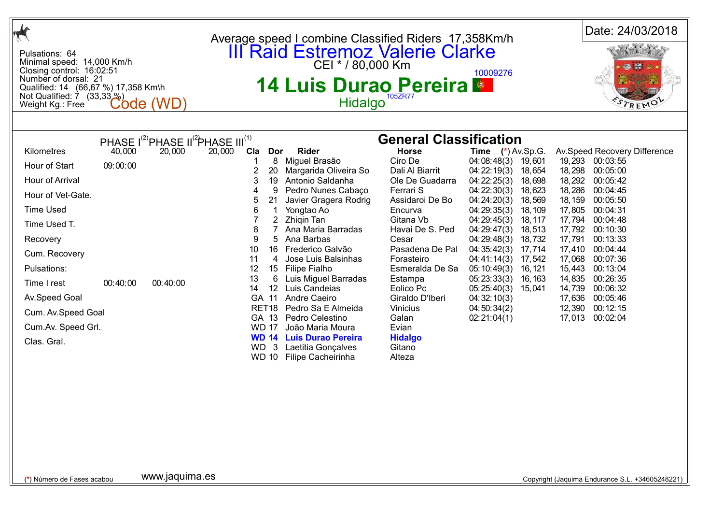| <b>III</b> Raid Estremoz Valerie Clarke<br>Pulsations: 64<br>Minimal speed: 14,000 Km/h<br>Closing control: 16:02:51<br>10009276<br>Number of dorsal: 21<br><b>14 Luis Durao Pereira *</b><br>Qualified: 14 (66,67 %) 17,358 Km\h<br>Not Qualified: $\dot{7}$ (33,33 $\%$ )<br>Hidalgo<br><b>Code (WD</b><br>TREMO<br>Weight Kg.: Free<br><b>General Classification</b><br>PHASE I <sup>(2)</sup> PHASE II <sup>(2</sup> )PHASE III <sup>(1)</sup><br>Kilometres<br>40,000<br>20,000<br>20,000<br>Cla<br><b>Rider</b><br><b>Horse</b><br>Time $(*)$ Av.Sp.G.<br>Av.Speed Recovery Difference<br>Dor<br>Miguel Brasão<br>Ciro De<br>19,293 00:03:55<br>8<br>04:08:48(3)<br>19,601<br>Hour of Start<br>09:00:00<br>$\boldsymbol{2}$<br>18,298<br>20<br>Margarida Oliveira So<br>Dali Al Biarrit<br>04:22:19(3)<br>00:05:00<br>18,654<br>3<br>Antonio Saldanha<br>04:22:25(3)<br>18,292<br>Hour of Arrival<br>19<br>Ole De Guadarra<br>18,698<br>00:05:42<br>18,286<br>9<br>Pedro Nunes Cabaço<br>Ferrari S<br>04:22:30(3)<br>18,623<br>00:04:45<br>4<br>Hour of Vet-Gate.<br>5<br>Javier Gragera Rodrig<br>Assidaroi De Bo<br>04:24:20(3)<br>18,569<br>18, 159<br>00:05:50<br>21<br><b>Time Used</b><br>6<br>18, 109<br>17,805<br>00:04:31<br>Yongtao Ao<br>Encurva<br>04:29:35(3)<br>$\overline{2}$<br>Zhigin Tan<br>Gitana Vb<br>17,794<br>00:04:48<br>04:29:45(3)<br>18, 117<br>Time Used T.<br>8<br>Ana Maria Barradas<br>Havai De S. Ped<br>18,513<br>17,792<br>00:10:30<br>04:29:47(3)<br>9<br>Ana Barbas<br>Recovery<br>5<br>18,732<br>17,791<br>00:13:33<br>Cesar<br>04:29:48(3)<br>10<br>Frederico Galvão<br>Pasadena De Pal<br>16<br>04:35:42(3)<br>17,714<br>17,410<br>00:04:44<br>Cum. Recovery<br>11<br>Jose Luis Balsinhas<br>17,068<br>00:07:36<br>4<br>Forasteiro<br>04:41:14(3)<br>17,542<br>Pulsations:<br>12<br><b>Filipe Fialho</b><br>Esmeralda De Sa<br>15,443<br>00:13:04<br>15 <sub>1</sub><br>05:10:49(3)<br>16, 121<br>13<br>6<br>Luis Miguel Barradas<br>05:23:33(3)<br>14,835<br>00:26:35<br>Estampa<br>16, 163<br>00:40:00<br>00:40:00<br>Time I rest<br>Luis Candeias<br>14<br>12 <sup>2</sup><br>Eolico Pc<br>05:25:40(3)<br>14,739<br>00:06:32<br>15,041<br>Av.Speed Goal<br>GA 11<br>Andre Caeiro<br>Giraldo D'Iberi<br>00:05:46<br>04:32:10(3)<br>17,636<br>Pedro Sa E Almeida<br>12,390 00:12:15<br>RET18<br>Vinicius<br>04:50:34(2)<br>Cum. Av. Speed Goal<br>GA 13<br>Pedro Celestino<br>17,013 00:02:04<br>Galan<br>02:21:04(1)<br>Cum.Av. Speed Grl.<br><b>WD 17</b><br>Evian<br>João Maria Moura<br><b>WD 14 Luis Durao Pereira</b><br><b>Hidalgo</b><br>Clas. Gral.<br>Gitano<br>WD.<br>$\mathbf{3}$<br>Laetitia Gonçalves<br><b>WD 10</b><br>Alteza<br>Filipe Cacheirinha |                | Average speed I combine Classified Riders 17,358Km/h | Date: 24/03/2018 |  |  |
|-------------------------------------------------------------------------------------------------------------------------------------------------------------------------------------------------------------------------------------------------------------------------------------------------------------------------------------------------------------------------------------------------------------------------------------------------------------------------------------------------------------------------------------------------------------------------------------------------------------------------------------------------------------------------------------------------------------------------------------------------------------------------------------------------------------------------------------------------------------------------------------------------------------------------------------------------------------------------------------------------------------------------------------------------------------------------------------------------------------------------------------------------------------------------------------------------------------------------------------------------------------------------------------------------------------------------------------------------------------------------------------------------------------------------------------------------------------------------------------------------------------------------------------------------------------------------------------------------------------------------------------------------------------------------------------------------------------------------------------------------------------------------------------------------------------------------------------------------------------------------------------------------------------------------------------------------------------------------------------------------------------------------------------------------------------------------------------------------------------------------------------------------------------------------------------------------------------------------------------------------------------------------------------------------------------------------------------------------------------------------------------------------------------------------------------------------------------------------------------------------------------------------------------------------------------------------------------------------------------------------------------------------------------------------------------------------------------------|----------------|------------------------------------------------------|------------------|--|--|
|                                                                                                                                                                                                                                                                                                                                                                                                                                                                                                                                                                                                                                                                                                                                                                                                                                                                                                                                                                                                                                                                                                                                                                                                                                                                                                                                                                                                                                                                                                                                                                                                                                                                                                                                                                                                                                                                                                                                                                                                                                                                                                                                                                                                                                                                                                                                                                                                                                                                                                                                                                                                                                                                                                                   |                |                                                      |                  |  |  |
|                                                                                                                                                                                                                                                                                                                                                                                                                                                                                                                                                                                                                                                                                                                                                                                                                                                                                                                                                                                                                                                                                                                                                                                                                                                                                                                                                                                                                                                                                                                                                                                                                                                                                                                                                                                                                                                                                                                                                                                                                                                                                                                                                                                                                                                                                                                                                                                                                                                                                                                                                                                                                                                                                                                   |                |                                                      |                  |  |  |
| (*) Número de Fases acabou<br>Copyright (Jaquima Endurance S.L. +34605248221)                                                                                                                                                                                                                                                                                                                                                                                                                                                                                                                                                                                                                                                                                                                                                                                                                                                                                                                                                                                                                                                                                                                                                                                                                                                                                                                                                                                                                                                                                                                                                                                                                                                                                                                                                                                                                                                                                                                                                                                                                                                                                                                                                                                                                                                                                                                                                                                                                                                                                                                                                                                                                                     | www.jaquima.es |                                                      |                  |  |  |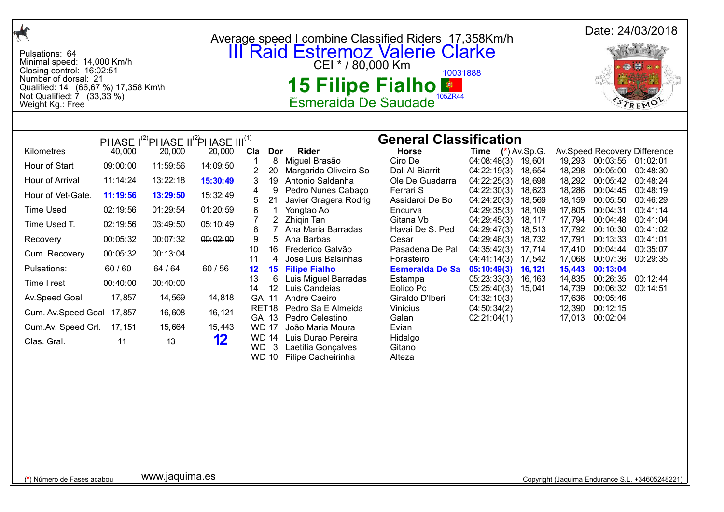|                                                                                                                                                                                                    |          |                                                                         |          |                                       | Average speed I combine Classified Riders 17,358Km/h                                                     |                                      |                                    |                   |                   | Date: 24/03/2018                   |                                                 |  |
|----------------------------------------------------------------------------------------------------------------------------------------------------------------------------------------------------|----------|-------------------------------------------------------------------------|----------|---------------------------------------|----------------------------------------------------------------------------------------------------------|--------------------------------------|------------------------------------|-------------------|-------------------|------------------------------------|-------------------------------------------------|--|
| Pulsations: 64<br>Minimal speed: 14,000 Km/h<br>Closing control: 16:02:51<br>Number of dorsal: 21<br>Qualified: 14 (66,67 %) 17,358 Km\h<br>Not Qualified: $\dot{7}$ (33,33 %)<br>Weight Kg.: Free |          |                                                                         |          |                                       | <b>III Raid Estremoz Valerie Clarke</b><br>CEI * / 80,000 Km<br>15 Filipe Fialho<br>Esmeralda De Saudade | 10031888<br>105ZR44                  |                                    |                   |                   | REMO                               |                                                 |  |
|                                                                                                                                                                                                    |          |                                                                         |          |                                       |                                                                                                          |                                      |                                    |                   |                   |                                    |                                                 |  |
|                                                                                                                                                                                                    |          | PHASE I <sup>(2)</sup> PHASE II <sup>(2</sup> )PHASE III <sup>(1)</sup> |          |                                       |                                                                                                          | <b>General Classification</b>        |                                    |                   |                   |                                    |                                                 |  |
| Kilometres                                                                                                                                                                                         | 40,000   | 20,000                                                                  | 20,000   | Cla<br>Dor                            | <b>Rider</b><br>8 Miguel Brasão                                                                          | <b>Horse</b><br>Ciro De              | Time $(*)$ Av.Sp.G.<br>04:08:48(3) | 19,601            |                   | 19,293 00:03:55 01:02:01           | Av.Speed Recovery Difference                    |  |
| Hour of Start                                                                                                                                                                                      | 09:00:00 | 11:59:56                                                                | 14:09:50 | $\overline{2}$<br>20                  | Margarida Oliveira So                                                                                    | Dali Al Biarrit                      | 04:22:19(3)                        | 18,654            | 18,298            | 00:05:00                           | 00:48:30                                        |  |
| Hour of Arrival                                                                                                                                                                                    | 11:14:24 | 13:22:18                                                                | 15:30:49 | 3<br>19                               | Antonio Saldanha                                                                                         | Ole De Guadarra                      | 04:22:25(3)                        | 18,698            | 18,292            | 00:05:42                           | 00:48:24                                        |  |
| Hour of Vet-Gate.                                                                                                                                                                                  | 11:19:56 | 13:29:50                                                                | 15:32:49 | 9<br>4<br>21<br>5                     | Pedro Nunes Cabaço<br>Javier Gragera Rodrig                                                              | Ferrari S<br>Assidaroi De Bo         | 04:22:30(3)<br>04:24:20(3)         | 18,623<br>18,569  | 18,286<br>18, 159 | 00:04:45<br>00:05:50               | 00:48:19<br>00:46:29                            |  |
| <b>Time Used</b>                                                                                                                                                                                   | 02:19:56 | 01:29:54                                                                | 01:20:59 | $\mathbf 1$<br>6                      | Yongtao Ao                                                                                               | Encurva                              | 04:29:35(3)                        | 18, 109           | 17,805            | 00:04:31                           | 00:41:14                                        |  |
| Time Used T.                                                                                                                                                                                       | 02:19:56 | 03:49:50                                                                | 05:10:49 | $\overline{2}$<br>8<br>$\overline{7}$ | Zhigin Tan<br>Ana Maria Barradas                                                                         | Gitana Vb<br>Havai De S. Ped         | 04:29:45(3)<br>04:29:47(3)         | 18, 117<br>18,513 | 17,794<br>17,792  | 00:04:48<br>00:10:30               | 00:41:04<br>00:41:02                            |  |
| Recovery                                                                                                                                                                                           | 00:05:32 | 00:07:32                                                                | 00:02:00 | 9<br>5                                | Ana Barbas                                                                                               | Cesar                                | 04:29:48(3)                        | 18,732            | 17,791            | 00:13:33                           | 00:41:01                                        |  |
| Cum. Recovery                                                                                                                                                                                      | 00:05:32 | 00:13:04                                                                |          | 10                                    | 16 Frederico Galvão                                                                                      | Pasadena De Pal                      | 04:35:42(3)                        | 17,714            | 17,410            | 00:04:44                           | 00:35:07                                        |  |
| Pulsations:                                                                                                                                                                                        | 60/60    | 64 / 64                                                                 | 60/56    | 11<br>4<br>12                         | Jose Luis Balsinhas<br><b>15 Filipe Fialho</b>                                                           | Forasteiro<br><b>Esmeralda De Sa</b> | 04:41:14(3)<br>05:10:49(3)         | 17,542<br>16, 121 | 17,068<br>15,443  | 00:07:36<br>00:13:04               | 00:29:35                                        |  |
| Time I rest                                                                                                                                                                                        | 00:40:00 | 00:40:00                                                                |          | 13<br>6<br>14<br>12 <sup>2</sup>      | Luis Miguel Barradas<br>Luis Candeias                                                                    | Estampa<br>Eolico Pc                 | 05:23:33(3)                        | 16, 163           | 14,835            | 00:26:35                           | 00:12:44                                        |  |
| Av.Speed Goal                                                                                                                                                                                      | 17,857   | 14,569                                                                  | 14,818   | GA 11                                 | Andre Caeiro                                                                                             | Giraldo D'Iberi                      | 05:25:40(3)<br>04:32:10(3)         | 15,041            | 14,739<br>17,636  | 00:06:32<br>00:05:46               | 00:14:51                                        |  |
| Cum. Av. Speed Goal 17,857                                                                                                                                                                         |          | 16,608                                                                  | 16, 121  | GA 13                                 | RET18 Pedro Sa E Almeida<br>Pedro Celestino                                                              | Vinicius<br>Galan                    | 04:50:34(2)<br>02:21:04(1)         |                   |                   | 12,390 00:12:15<br>17,013 00:02:04 |                                                 |  |
| Cum.Av. Speed Grl.                                                                                                                                                                                 | 17, 151  | 15,664                                                                  | 15,443   | <b>WD 17</b>                          | João Maria Moura                                                                                         | Evian                                |                                    |                   |                   |                                    |                                                 |  |
| Clas. Gral.                                                                                                                                                                                        | 11       | 13                                                                      | 12       | <b>WD 14</b><br>WD 3<br><b>WD 10</b>  | Luis Durao Pereira<br>Laetitia Gonçalves<br>Filipe Cacheirinha                                           | Hidalgo<br>Gitano<br>Alteza          |                                    |                   |                   |                                    |                                                 |  |
|                                                                                                                                                                                                    |          |                                                                         |          |                                       |                                                                                                          |                                      |                                    |                   |                   |                                    |                                                 |  |
|                                                                                                                                                                                                    |          |                                                                         |          |                                       |                                                                                                          |                                      |                                    |                   |                   |                                    |                                                 |  |
|                                                                                                                                                                                                    |          |                                                                         |          |                                       |                                                                                                          |                                      |                                    |                   |                   |                                    |                                                 |  |
|                                                                                                                                                                                                    |          |                                                                         |          |                                       |                                                                                                          |                                      |                                    |                   |                   |                                    |                                                 |  |
|                                                                                                                                                                                                    |          |                                                                         |          |                                       |                                                                                                          |                                      |                                    |                   |                   |                                    |                                                 |  |
| (*) Número de Fases acabou                                                                                                                                                                         |          | www.jaquima.es                                                          |          |                                       |                                                                                                          |                                      |                                    |                   |                   |                                    | Copyright (Jaquima Endurance S.L. +34605248221) |  |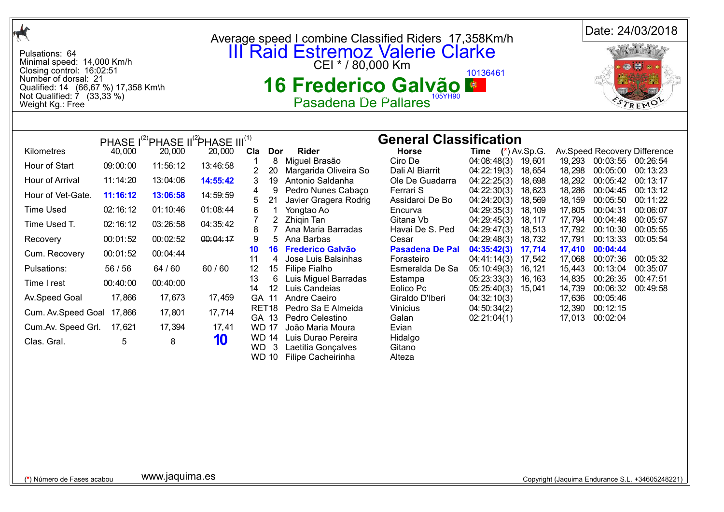| $\boldsymbol{\star}$                                                                                                                                                                                                                                  |                                                                                                                                            |                                                                                                                                                                                                                                 |                                                                                                                                   |                                                                                                                                                                                                                          |                                                                                                                                                                                                                                                                                                                                                                                                                                                                            |                                                                                                                                                                                                                                                                                                                                                              |                                                                                                                                                                                                                                                                                                  |                                                                                                                                    |                                                                                                                                                               |                                                                                                                                                                                                                          | Date: 24/03/2018                                                                                                                                                             |  |
|-------------------------------------------------------------------------------------------------------------------------------------------------------------------------------------------------------------------------------------------------------|--------------------------------------------------------------------------------------------------------------------------------------------|---------------------------------------------------------------------------------------------------------------------------------------------------------------------------------------------------------------------------------|-----------------------------------------------------------------------------------------------------------------------------------|--------------------------------------------------------------------------------------------------------------------------------------------------------------------------------------------------------------------------|----------------------------------------------------------------------------------------------------------------------------------------------------------------------------------------------------------------------------------------------------------------------------------------------------------------------------------------------------------------------------------------------------------------------------------------------------------------------------|--------------------------------------------------------------------------------------------------------------------------------------------------------------------------------------------------------------------------------------------------------------------------------------------------------------------------------------------------------------|--------------------------------------------------------------------------------------------------------------------------------------------------------------------------------------------------------------------------------------------------------------------------------------------------|------------------------------------------------------------------------------------------------------------------------------------|---------------------------------------------------------------------------------------------------------------------------------------------------------------|--------------------------------------------------------------------------------------------------------------------------------------------------------------------------------------------------------------------------|------------------------------------------------------------------------------------------------------------------------------------------------------------------------------|--|
| Pulsations: 64<br>Minimal speed: 14,000 Km/h<br>Closing control: 16:02:51<br>Number of dorsal: 21<br>Qualified: 14 (66,67 %) 17,358 Km\h<br>Not Qualified: $\overline{7}$ (33,33 %)<br>Weight Kg.: Free                                               |                                                                                                                                            |                                                                                                                                                                                                                                 |                                                                                                                                   |                                                                                                                                                                                                                          | Average speed I combine Classified Riders 17,358Km/h<br><b>III Raid Estremoz Valerie Clarke</b><br>CEI * / 80,000 Km<br>10136461<br>16 Frederico Galvão M<br>Pasadena De Pallares                                                                                                                                                                                                                                                                                          |                                                                                                                                                                                                                                                                                                                                                              |                                                                                                                                                                                                                                                                                                  |                                                                                                                                    |                                                                                                                                                               |                                                                                                                                                                                                                          |                                                                                                                                                                              |  |
|                                                                                                                                                                                                                                                       |                                                                                                                                            |                                                                                                                                                                                                                                 |                                                                                                                                   |                                                                                                                                                                                                                          |                                                                                                                                                                                                                                                                                                                                                                                                                                                                            |                                                                                                                                                                                                                                                                                                                                                              |                                                                                                                                                                                                                                                                                                  |                                                                                                                                    |                                                                                                                                                               |                                                                                                                                                                                                                          |                                                                                                                                                                              |  |
| Kilometres<br>Hour of Start<br>Hour of Arrival<br>Hour of Vet-Gate.<br><b>Time Used</b><br>Time Used T.<br>Recovery<br>Cum. Recovery<br>Pulsations:<br>Time I rest<br>Av.Speed Goal<br>Cum. Av.Speed Goal 17,866<br>Cum.Av. Speed Grl.<br>Clas. Gral. | 40,000<br>09:00:00<br>11:14:20<br>11:16:12<br>02:16:12<br>02:16:12<br>00:01:52<br>00:01:52<br>56 / 56<br>00:40:00<br>17,866<br>17,621<br>5 | PHASE I <sup>(2)</sup> PHASE II <sup>(2</sup> )PHASE III <sup>(1)</sup><br>20,000<br>11:56:12<br>13:04:06<br>13:06:58<br>01:10:46<br>03:26:58<br>00:02:52<br>00:04:44<br>64 / 60<br>00:40:00<br>17,673<br>17,801<br>17,394<br>8 | 20,000<br>13:46:58<br>14:55:42<br>14:59:59<br>01:08:44<br>04:35:42<br>00:04:17<br>60/60<br>17,459<br>17,714<br>17,41<br><b>10</b> | Cla<br>Dor<br>2<br>20<br>19<br>3<br>4<br>9<br>21<br>6<br>$\mathbf 1$<br>$\overline{2}$<br>8<br>$\overline{7}$<br>9<br>5<br>10<br>11<br>4<br>12<br>13<br>6<br>14<br>GA 11<br>GA 13<br><b>WD 17</b><br>WD.<br>$\mathbf{3}$ | <b>Rider</b><br>8 Miguel Brasão<br>Margarida Oliveira So<br>Antonio Saldanha<br>Pedro Nunes Cabaço<br>Javier Gragera Rodrig<br>Yongtao Ao<br>Zhigin Tan<br>Ana Maria Barradas<br>Ana Barbas<br>16 Frederico Galvão<br>Jose Luis Balsinhas<br>15 Filipe Fialho<br>Luis Miguel Barradas<br>12 Luis Candeias<br>Andre Caeiro<br>RET18 Pedro Sa E Almeida<br>Pedro Celestino<br>João Maria Moura<br>WD 14 Luis Durao Pereira<br>Laetitia Gonçalves<br>WD 10 Filipe Cacheirinha | <b>General Classification</b><br><b>Horse</b><br>Ciro De<br>Dali Al Biarrit<br>Ole De Guadarra<br>Ferrari S<br>Assidaroi De Bo<br>Encurva<br>Gitana Vb<br>Havai De S. Ped<br>Cesar<br><b>Pasadena De Pal</b><br>Forasteiro<br>Esmeralda De Sa<br>Estampa<br>Eolico Pc<br>Giraldo D'Iberi<br><b>Vinicius</b><br>Galan<br>Evian<br>Hidalgo<br>Gitano<br>Alteza | <b>Time</b> $(*)$ Av.Sp.G.<br>04:08:48(3)<br>04:22:19(3)<br>04:22:25(3)<br>04:22:30(3)<br>04:24:20(3)<br>04:29:35(3)<br>04:29:45(3)<br>04:29:47(3)<br>04:29:48(3)<br>04:35:42(3)<br>04:41:14(3)<br>05:10:49(3)<br>05:23:33(3)<br>05:25:40(3) 15,041<br>04:32:10(3)<br>04:50:34(2)<br>02:21:04(1) | 19,601<br>18,654<br>18,698<br>18,623<br>18,569<br>18, 109<br>18, 117<br>18,513<br>18,732<br>17,714<br>17,542<br>16, 121<br>16, 163 | 19,293<br>18,298<br>18,292<br>18,286<br>18, 159<br>17,805<br>17,794<br>17,792<br>17,791<br>17,410<br>17,068<br>15,443<br>14,835<br>14,739<br>17,636<br>12,390 | 00:03:55 00:26:54<br>00:05:00<br>00:05:42<br>00:04:45<br>00:05:50<br>00:04:31<br>00:04:48<br>00:10:30<br>00:13:33<br>00:04:44<br>00:07:36<br>00:13:04<br>00:26:35<br>00:06:32<br>00:05:46<br>00:12:15<br>17,013 00:02:04 | Av.Speed Recovery Difference<br>00:13:23<br>00:13:17<br>00:13:12<br>00:11:22<br>00:06:07<br>00:05:57<br>00:05:55<br>00:05:54<br>00:05:32<br>00:35:07<br>00:47:51<br>00:49:58 |  |
|                                                                                                                                                                                                                                                       |                                                                                                                                            | www.jaquima.es                                                                                                                                                                                                                  |                                                                                                                                   |                                                                                                                                                                                                                          |                                                                                                                                                                                                                                                                                                                                                                                                                                                                            |                                                                                                                                                                                                                                                                                                                                                              |                                                                                                                                                                                                                                                                                                  |                                                                                                                                    |                                                                                                                                                               |                                                                                                                                                                                                                          |                                                                                                                                                                              |  |
| (*) Número de Fases acabou                                                                                                                                                                                                                            |                                                                                                                                            |                                                                                                                                                                                                                                 |                                                                                                                                   |                                                                                                                                                                                                                          |                                                                                                                                                                                                                                                                                                                                                                                                                                                                            |                                                                                                                                                                                                                                                                                                                                                              |                                                                                                                                                                                                                                                                                                  |                                                                                                                                    |                                                                                                                                                               |                                                                                                                                                                                                                          | Copyright (Jaquima Endurance S.L. +34605248221)                                                                                                                              |  |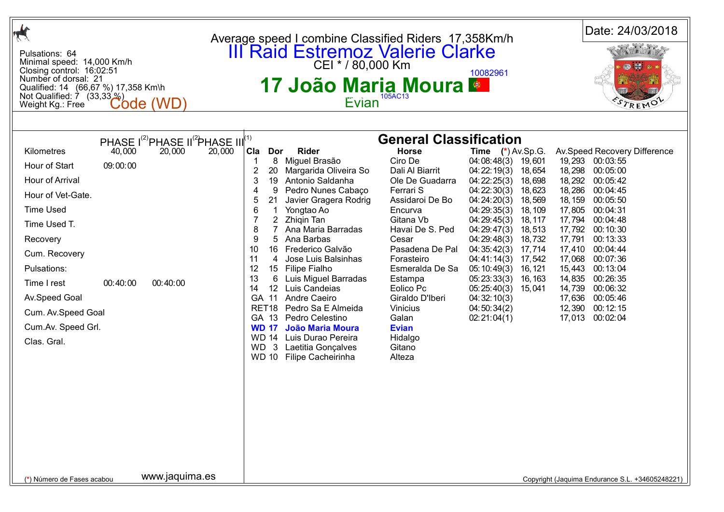| <b>III</b> Raid Estremoz Valerie Clarke<br>Pulsations: 64<br>Minimal speed: 14,000 Km/h<br>Closing control: 16:02:51<br>10082961<br>Number of dorsal: 21<br>17 João Maria Moura ●<br>Qualified: 14 (66,67 %) 17,358 Km\h<br>Not Qualified: $\dot{7}$ (33,33 $\%$ )<br>105AC13<br>Evian<br><b>Code (WD</b><br>TREMO<br>Weight Kg.: Free<br><b>General Classification</b><br>PHASE I <sup>(2)</sup> PHASE II <sup>(2</sup> )PHASE III <sup>(1)</sup><br>Kilometres<br>40,000<br>20,000<br>20,000<br>Cla<br><b>Rider</b><br><b>Horse</b><br>Time $(*)$ Av.Sp.G.<br>Av.Speed Recovery Difference<br>Dor<br>Miguel Brasão<br>Ciro De<br>8<br>04:08:48(3)<br>19,293 00:03:55<br>19,601<br>Hour of Start<br>09:00:00<br>$\boldsymbol{2}$<br>18,298<br>20<br>Margarida Oliveira So<br>Dali Al Biarrit<br>04:22:19(3)<br>00:05:00<br>18,654<br>3<br>Antonio Saldanha<br>04:22:25(3)<br>18,292<br>Hour of Arrival<br>19<br>Ole De Guadarra<br>18,698<br>00:05:42<br>9<br>Pedro Nunes Cabaço<br>Ferrari S<br>04:22:30(3)<br>18,623<br>18,286<br>00:04:45<br>4<br>Hour of Vet-Gate.<br>5<br>Javier Gragera Rodrig<br>Assidaroi De Bo<br>04:24:20(3)<br>18,569<br>18, 159<br>00:05:50<br>21<br><b>Time Used</b><br>6<br>18, 109<br>17,805<br>00:04:31<br>Yongtao Ao<br>Encurva<br>04:29:35(3)<br>$\overline{2}$<br>Zhigin Tan<br>Gitana Vb<br>17,794<br>00:04:48<br>04:29:45(3)<br>18, 117<br>Time Used T.<br>8<br>Ana Maria Barradas<br>Havai De S. Ped<br>18,513<br>17,792<br>00:10:30<br>04:29:47(3)<br>9<br>Ana Barbas<br>Recovery<br>5<br>18,732<br>17,791<br>00:13:33<br>Cesar<br>04:29:48(3)<br>10<br>Frederico Galvão<br>Pasadena De Pal<br>16<br>04:35:42(3)<br>17,714<br>17,410<br>00:04:44<br>Cum. Recovery<br>11<br>Jose Luis Balsinhas<br>17,068<br>00:07:36<br>4<br>Forasteiro<br>04:41:14(3)<br>17,542<br>Pulsations:<br>12<br>Filipe Fialho<br>Esmeralda De Sa<br>15,443<br>00:13:04<br>15<br>05:10:49(3)<br>16, 121<br>13<br>6<br>Luis Miguel Barradas<br>05:23:33(3)<br>14,835<br>00:26:35<br>Estampa<br>16, 163<br>00:40:00<br>00:40:00<br>Time I rest<br>Luis Candeias<br>14<br>12 <sup>2</sup><br>Eolico Pc<br>05:25:40(3)<br>14,739<br>00:06:32<br>15,041<br>Av.Speed Goal<br>GA 11<br>Andre Caeiro<br>Giraldo D'Iberi<br>00:05:46<br>04:32:10(3)<br>17,636<br>Pedro Sa E Almeida<br>12,390 00:12:15<br>RET18<br>Vinicius<br>04:50:34(2)<br>Cum. Av. Speed Goal<br>GA 13<br>Pedro Celestino<br>17,013 00:02:04<br>Galan<br>02:21:04(1)<br>Cum.Av. Speed Grl.<br><b>WD 17</b><br><b>João Maria Moura</b><br><b>Evian</b><br>WD 14 Luis Durao Pereira<br>Hidalgo<br>Clas. Gral.<br><b>WD</b><br>$\mathbf{3}$<br>Laetitia Gonçalves<br>Gitano<br><b>WD 10</b><br>Alteza<br>Filipe Cacheirinha |                                              | Average speed I combine Classified Riders 17,358Km/h | Date: 24/03/2018 |
|-----------------------------------------------------------------------------------------------------------------------------------------------------------------------------------------------------------------------------------------------------------------------------------------------------------------------------------------------------------------------------------------------------------------------------------------------------------------------------------------------------------------------------------------------------------------------------------------------------------------------------------------------------------------------------------------------------------------------------------------------------------------------------------------------------------------------------------------------------------------------------------------------------------------------------------------------------------------------------------------------------------------------------------------------------------------------------------------------------------------------------------------------------------------------------------------------------------------------------------------------------------------------------------------------------------------------------------------------------------------------------------------------------------------------------------------------------------------------------------------------------------------------------------------------------------------------------------------------------------------------------------------------------------------------------------------------------------------------------------------------------------------------------------------------------------------------------------------------------------------------------------------------------------------------------------------------------------------------------------------------------------------------------------------------------------------------------------------------------------------------------------------------------------------------------------------------------------------------------------------------------------------------------------------------------------------------------------------------------------------------------------------------------------------------------------------------------------------------------------------------------------------------------------------------------------------------------------------------------------------------------------------------------------------------------------------------------|----------------------------------------------|------------------------------------------------------|------------------|
|                                                                                                                                                                                                                                                                                                                                                                                                                                                                                                                                                                                                                                                                                                                                                                                                                                                                                                                                                                                                                                                                                                                                                                                                                                                                                                                                                                                                                                                                                                                                                                                                                                                                                                                                                                                                                                                                                                                                                                                                                                                                                                                                                                                                                                                                                                                                                                                                                                                                                                                                                                                                                                                                                                     |                                              |                                                      |                  |
|                                                                                                                                                                                                                                                                                                                                                                                                                                                                                                                                                                                                                                                                                                                                                                                                                                                                                                                                                                                                                                                                                                                                                                                                                                                                                                                                                                                                                                                                                                                                                                                                                                                                                                                                                                                                                                                                                                                                                                                                                                                                                                                                                                                                                                                                                                                                                                                                                                                                                                                                                                                                                                                                                                     |                                              |                                                      |                  |
| Copyright (Jaquima Endurance S.L. +34605248221)                                                                                                                                                                                                                                                                                                                                                                                                                                                                                                                                                                                                                                                                                                                                                                                                                                                                                                                                                                                                                                                                                                                                                                                                                                                                                                                                                                                                                                                                                                                                                                                                                                                                                                                                                                                                                                                                                                                                                                                                                                                                                                                                                                                                                                                                                                                                                                                                                                                                                                                                                                                                                                                     | www.jaquima.es<br>(*) Número de Fases acabou |                                                      |                  |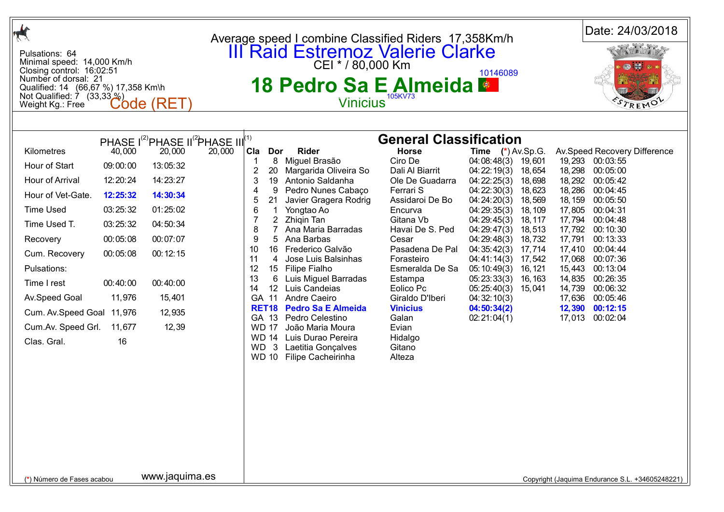| A                                                                                                                                                                                                                                                                                                                                                                                         |                                                                                                                                                                                                                          | Date: 24/03/2018<br>Average speed I combine Classified Riders 17,358Km/h                                                                                                                                                                                                                                                                                                                                                                                                                                                                                                                                                                                                                                                                                                                                                                                                                                                                                                                                                                                                                                                                                                                                                                                                                                                                                                                                                                                                                                                                                                                                                                                                                                                                                                                                                                                                                                                       |
|-------------------------------------------------------------------------------------------------------------------------------------------------------------------------------------------------------------------------------------------------------------------------------------------------------------------------------------------------------------------------------------------|--------------------------------------------------------------------------------------------------------------------------------------------------------------------------------------------------------------------------|--------------------------------------------------------------------------------------------------------------------------------------------------------------------------------------------------------------------------------------------------------------------------------------------------------------------------------------------------------------------------------------------------------------------------------------------------------------------------------------------------------------------------------------------------------------------------------------------------------------------------------------------------------------------------------------------------------------------------------------------------------------------------------------------------------------------------------------------------------------------------------------------------------------------------------------------------------------------------------------------------------------------------------------------------------------------------------------------------------------------------------------------------------------------------------------------------------------------------------------------------------------------------------------------------------------------------------------------------------------------------------------------------------------------------------------------------------------------------------------------------------------------------------------------------------------------------------------------------------------------------------------------------------------------------------------------------------------------------------------------------------------------------------------------------------------------------------------------------------------------------------------------------------------------------------|
| Pulsations: 64<br>Minimal speed: 14,000 Km/h<br>Closing control: 16:02:51<br>Number of dorsal: 21<br>Qualified: 14 (66,67 %) 17,358 Km\h<br>Not Qualified: $\overline{7}$ (33,33 %)<br>Weight Kg.: Free                                                                                                                                                                                   | Code (RET)                                                                                                                                                                                                               | <b>III Raid Estremoz Valerie Clarke</b><br>CEI * / 80,000 Km<br>10146089<br>18 Pedro Sa E Almeida ·<br>105KV73<br><b>Vinicius</b>                                                                                                                                                                                                                                                                                                                                                                                                                                                                                                                                                                                                                                                                                                                                                                                                                                                                                                                                                                                                                                                                                                                                                                                                                                                                                                                                                                                                                                                                                                                                                                                                                                                                                                                                                                                              |
|                                                                                                                                                                                                                                                                                                                                                                                           |                                                                                                                                                                                                                          |                                                                                                                                                                                                                                                                                                                                                                                                                                                                                                                                                                                                                                                                                                                                                                                                                                                                                                                                                                                                                                                                                                                                                                                                                                                                                                                                                                                                                                                                                                                                                                                                                                                                                                                                                                                                                                                                                                                                |
| Kilometres<br>40,000<br>Hour of Start<br>09:00:00<br>Hour of Arrival<br>12:20:24<br>Hour of Vet-Gate.<br>12:25:32<br><b>Time Used</b><br>03:25:32<br>Time Used T.<br>03:25:32<br>00:05:08<br>Recovery<br>Cum. Recovery<br>00:05:08<br>Pulsations:<br>Time I rest<br>00:40:00<br>11,976<br>Av.Speed Goal<br>Cum. Av.Speed Goal 11,976<br>Cum.Av. Speed Grl.<br>11,677<br>Clas. Gral.<br>16 | PHASE I <sup>(2)</sup> PHASE II <sup>(2</sup> )PHASE III <sup>(1)</sup><br>20,000<br>20,000<br>13:05:32<br>14:23:27<br>14:30:34<br>01:25:02<br>04:50:34<br>00:07:07<br>00:12:15<br>00:40:00<br>15,401<br>12,935<br>12,39 | <b>General Classification</b><br><b>Rider</b><br><b>Horse</b><br>Cla<br>Dor<br><b>Time</b> $(*)$ Av.Sp.G.<br>Av.Speed Recovery Difference<br>Miguel Brasão<br>Ciro De<br>8<br>04:08:48(3)<br>19,601<br>19,293 00:03:55<br>$\overline{2}$<br>20<br>Margarida Oliveira So<br>Dali Al Biarrit<br>04:22:19(3)<br>18,298<br>00:05:00<br>18,654<br>Antonio Saldanha<br>04:22:25(3)<br>18,292 00:05:42<br>3<br>19<br>Ole De Guadarra<br>18,698<br>04:22:30(3)<br>Pedro Nunes Cabaço<br>Ferrari S<br>18,623<br>18,286<br>00:04:45<br>4<br>9<br>21<br>Javier Gragera Rodrig<br>Assidaroi De Bo<br>04:24:20(3)<br>18, 159<br>00:05:50<br>5<br>18,569<br>Yongtao Ao<br>17,805<br>00:04:31<br>6<br>Encurva<br>04:29:35(3)<br>18, 109<br>-1<br>Zhigin Tan<br>Gitana Vb<br>17,794 00:04:48<br>$^{2}$<br>04:29:45(3)<br>18, 117<br>8<br>Ana Maria Barradas<br>Havai De S. Ped<br>18,513<br>04:29:47(3)<br>17,792 00:10:30<br>9<br>5.<br>Ana Barbas<br>17,791<br>00:13:33<br>Cesar<br>04:29:48(3)<br>18,732<br>Frederico Galvão<br>Pasadena De Pal<br>10<br>16<br>04:35:42(3)<br>17,714<br>17,410<br>00:04:44<br>11<br>Jose Luis Balsinhas<br>17,068<br>00:07:36<br>4<br>Forasteiro<br>04:41:14(3)<br>17,542<br>12<br>15<br><b>Filipe Fialho</b><br>Esmeralda De Sa<br>15,443<br>00:13:04<br>05:10:49(3)<br>16, 121<br>13<br>6<br>Luis Miguel Barradas<br>05:23:33(3)<br>14,835<br>00:26:35<br>Estampa<br>16, 163<br>12 Luis Candeias<br>14<br>Eolico Pc<br>05:25:40(3)<br>14,739<br>00:06:32<br>15,041<br>GA 11<br>Andre Caeiro<br>Giraldo D'Iberi<br>17,636 00:05:46<br>04:32:10(3)<br><b>Pedro Sa E Almeida</b><br><b>Vinicius</b><br>12,390 00:12:15<br><b>RET18</b><br>04:50:34(2)<br>Pedro Celestino<br>17,013 00:02:04<br>GA 13<br>Galan<br>02:21:04(1)<br><b>WD 17</b><br>João Maria Moura<br>Evian<br>Luis Durao Pereira<br><b>WD 14</b><br>Hidalgo<br>3<br>Laetitia Gonçalves<br>WD.<br>Gitano<br>WD 10 Filipe Cacheirinha<br>Alteza |
| (*) Número de Fases acabou                                                                                                                                                                                                                                                                                                                                                                | www.jaquima.es                                                                                                                                                                                                           | Copyright (Jaquima Endurance S.L. +34605248221)                                                                                                                                                                                                                                                                                                                                                                                                                                                                                                                                                                                                                                                                                                                                                                                                                                                                                                                                                                                                                                                                                                                                                                                                                                                                                                                                                                                                                                                                                                                                                                                                                                                                                                                                                                                                                                                                                |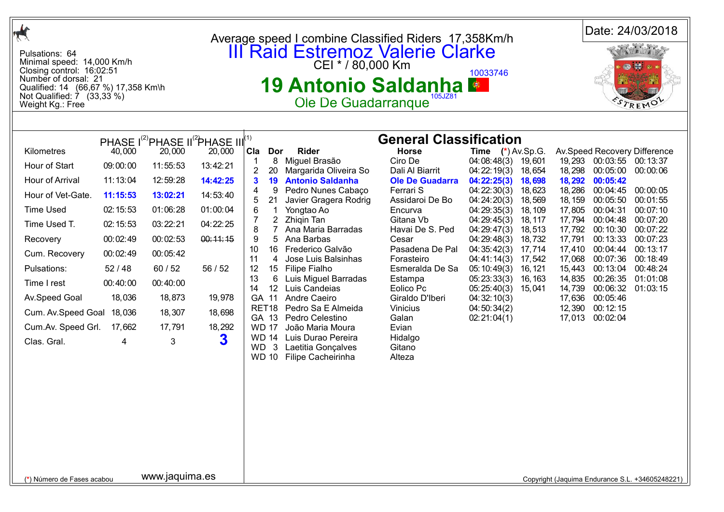|                                                                                                                                                                                                         |                                                                                                                 | Average speed I combine Classified Riders 17,358Km/h                                                                    |                                                 | Date: 24/03/2018                                                  |
|---------------------------------------------------------------------------------------------------------------------------------------------------------------------------------------------------------|-----------------------------------------------------------------------------------------------------------------|-------------------------------------------------------------------------------------------------------------------------|-------------------------------------------------|-------------------------------------------------------------------|
| Pulsations: 64<br>Minimal speed: 14,000 Km/h<br>Closing control: 16:02:51<br>Number of dorsal: 21<br>Qualified: 14 (66,67 %) 17,358 Km\h<br>Not Qualified: $\overline{7}$ (33,33 %)<br>Weight Kg.: Free |                                                                                                                 | <b>III Raid Estremoz Valerie Clarke</b><br>CEI * / 80,000 Km<br>19 Antonio Saldanha ■<br>105JZ81<br>Ole De Guadarranque | 10033746                                        |                                                                   |
|                                                                                                                                                                                                         |                                                                                                                 | <b>General Classification</b>                                                                                           |                                                 |                                                                   |
| Kilometres<br>40,000                                                                                                                                                                                    | PHASE I <sup>(2)</sup> PHASE II <sup>(2</sup> PHASE III <sup>(1)</sup><br>20,000<br>20,000<br><b>Cla</b><br>Dor | <b>Rider</b><br><b>Horse</b>                                                                                            | <b>Time</b> $(*)$ Av.Sp.G.                      | Av.Speed Recovery Difference                                      |
| Hour of Start<br>09:00:00<br>11:55:53                                                                                                                                                                   | 8<br>13:42:21                                                                                                   | Ciro De<br>Miguel Brasão                                                                                                | 04:08:48(3)<br>19,601                           | 19,293 00:03:55 00:13:37                                          |
| Hour of Arrival<br>11:13:04<br>12:59:28                                                                                                                                                                 | 20<br>14:42:25<br>3<br>19                                                                                       | Margarida Oliveira So<br>Dali Al Biarrit<br><b>Antonio Saldanha</b><br><b>Ole De Guadarra</b>                           | 04:22:19(3)<br>18,654<br>04:22:25(3)<br>18,698  | 18,298<br>00:05:00<br>00:00:06<br>18,292<br>00:05:42              |
| Hour of Vet-Gate.<br>11:15:53<br>13:02:21                                                                                                                                                               | 9<br>4<br>14:53:40                                                                                              | Pedro Nunes Cabaço<br>Ferrari S                                                                                         | 18,623<br>04:22:30(3)                           | 18,286<br>00:04:45<br>00:00:05                                    |
| <b>Time Used</b><br>02:15:53<br>01:06:28                                                                                                                                                                | 21<br>01:00:04<br>1<br>6                                                                                        | Javier Gragera Rodrig<br>Assidaroi De Bo<br>Yongtao Ao<br>Encurva                                                       | 04:24:20(3)<br>18,569<br>04:29:35(3)<br>18, 109 | 18, 159<br>00:05:50<br>00:01:55<br>17,805<br>00:07:10<br>00:04:31 |
| Time Used T.<br>03:22:21<br>02:15:53                                                                                                                                                                    | 7<br>$\overline{2}$<br>04:22:25<br>8<br>$\overline{7}$                                                          | Zhigin Tan<br>Gitana Vb<br>Ana Maria Barradas<br>Havai De S. Ped                                                        | 04:29:45(3)<br>18, 117<br>04:29:47(3)<br>18,513 | 17,794<br>00:04:48<br>00:07:20<br>17,792<br>00:07:22<br>00:10:30  |
| 00:02:49<br>00:02:53<br>Recovery                                                                                                                                                                        | 00:11:15<br>9<br>5                                                                                              | Ana Barbas<br>Cesar                                                                                                     | 04:29:48(3)<br>18,732                           | 17,791<br>00:13:33<br>00:07:23                                    |
| 00:02:49<br>00:05:42<br>Cum. Recovery                                                                                                                                                                   | 10<br>11<br>4                                                                                                   | 16 Frederico Galvão<br>Pasadena De Pal<br>Jose Luis Balsinhas<br>Forasteiro                                             | 04:35:42(3)<br>17,714<br>17,542<br>04:41:14(3)  | 17,410<br>00:04:44<br>00:13:17<br>17,068<br>00:07:36<br>00:18:49  |
| Pulsations:<br>52/48<br>60/52                                                                                                                                                                           | 56/52<br>12                                                                                                     | 15 Filipe Fialho<br>Esmeralda De Sa                                                                                     | 05:10:49(3)<br>16, 121                          | 15,443<br>00:48:24<br>00:13:04                                    |
| 00:40:00<br>00:40:00<br>Time I rest                                                                                                                                                                     | 13<br>6<br>14                                                                                                   | Luis Miguel Barradas<br>Estampa<br>12 Luis Candeias<br>Eolico Pc                                                        | 05:23:33(3)<br>16, 163<br>05:25:40(3) 15,041    | 14,835<br>00:26:35<br>01:01:08<br>00:06:32<br>14,739<br>01:03:15  |
| 18,036<br>Av.Speed Goal                                                                                                                                                                                 | 18,873<br>19,978<br>GA 11                                                                                       | Andre Caeiro<br>Giraldo D'Iberi                                                                                         | 04:32:10(3)                                     | 17,636<br>00:05:46                                                |
| Cum. Av. Speed Goal<br>18,036                                                                                                                                                                           | RET <sub>18</sub><br>18,698<br>18,307<br>GA 13                                                                  | Pedro Sa E Almeida<br><b>Vinicius</b><br>Pedro Celestino<br>Galan                                                       | 04:50:34(2)<br>02:21:04(1)                      | 00:12:15<br>12,390<br>17,013<br>00:02:04                          |
| Cum.Av. Speed Grl.<br>17,662                                                                                                                                                                            | 18,292<br>17,791<br><b>WD 17</b>                                                                                | João Maria Moura<br>Evian                                                                                               |                                                 |                                                                   |
| Clas. Gral.<br>4                                                                                                                                                                                        | 3<br>3<br><b>WD</b><br>$\mathbf{3}$                                                                             | WD 14 Luis Durao Pereira<br>Hidalgo<br>Gitano<br>Laetitia Gonçalves<br>WD 10 Filipe Cacheirinha<br>Alteza               |                                                 |                                                                   |
|                                                                                                                                                                                                         |                                                                                                                 |                                                                                                                         |                                                 |                                                                   |
|                                                                                                                                                                                                         |                                                                                                                 |                                                                                                                         |                                                 |                                                                   |
|                                                                                                                                                                                                         |                                                                                                                 |                                                                                                                         |                                                 |                                                                   |
|                                                                                                                                                                                                         |                                                                                                                 |                                                                                                                         |                                                 |                                                                   |
|                                                                                                                                                                                                         |                                                                                                                 |                                                                                                                         |                                                 |                                                                   |
| (*) Número de Fases acabou                                                                                                                                                                              | www.jaquima.es                                                                                                  |                                                                                                                         |                                                 | Copyright (Jaquima Endurance S.L. +34605248221)                   |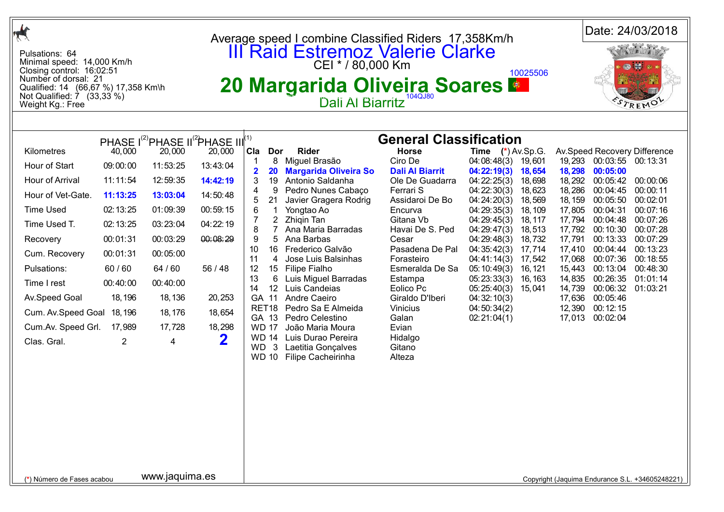| $\frac{1}{\sqrt{2}}$                                                                                                                                                                                                                            |                                                                                                                                                      |                                                                                                                                                        |                                                                                                                                                                                                         | Average speed I combine Classified Riders 17,358Km/h                                                                                                                                                                                                                                        |                                                                                                                                                                                                                                                                                                                                                                                                                                                            |                                                                                                                                                                                                                                                                                                                                                              |                                                                                                                                                                                                                                                                                           | Date: 24/03/2018                                                                                                                             |                                                                                                                                                                         |                                                                                                                                                                                                                   |                                                                                                                                                                              |  |
|-------------------------------------------------------------------------------------------------------------------------------------------------------------------------------------------------------------------------------------------------|------------------------------------------------------------------------------------------------------------------------------------------------------|--------------------------------------------------------------------------------------------------------------------------------------------------------|---------------------------------------------------------------------------------------------------------------------------------------------------------------------------------------------------------|---------------------------------------------------------------------------------------------------------------------------------------------------------------------------------------------------------------------------------------------------------------------------------------------|------------------------------------------------------------------------------------------------------------------------------------------------------------------------------------------------------------------------------------------------------------------------------------------------------------------------------------------------------------------------------------------------------------------------------------------------------------|--------------------------------------------------------------------------------------------------------------------------------------------------------------------------------------------------------------------------------------------------------------------------------------------------------------------------------------------------------------|-------------------------------------------------------------------------------------------------------------------------------------------------------------------------------------------------------------------------------------------------------------------------------------------|----------------------------------------------------------------------------------------------------------------------------------------------|-------------------------------------------------------------------------------------------------------------------------------------------------------------------------|-------------------------------------------------------------------------------------------------------------------------------------------------------------------------------------------------------------------|------------------------------------------------------------------------------------------------------------------------------------------------------------------------------|--|
| Pulsations: 64<br>Minimal speed: 14,000 Km/h<br>Closing control: 16:02:51<br>Number of dorsal: 21<br>Qualified: 14 (66,67 %) 17,358 Km\h<br>Not Qualified: $\dot{7}$ (33,33 %)<br>Weight Kg.: Free                                              |                                                                                                                                                      |                                                                                                                                                        |                                                                                                                                                                                                         |                                                                                                                                                                                                                                                                                             | <b>III Raid Estremoz Valerie Clarke</b><br>20 Margarida Oliveira Soares<br>Dali Al Biarritz                                                                                                                                                                                                                                                                                                                                                                |                                                                                                                                                                                                                                                                                                                                                              |                                                                                                                                                                                                                                                                                           | 10025506                                                                                                                                     |                                                                                                                                                                         | TREMO                                                                                                                                                                                                             |                                                                                                                                                                              |  |
|                                                                                                                                                                                                                                                 |                                                                                                                                                      |                                                                                                                                                        |                                                                                                                                                                                                         |                                                                                                                                                                                                                                                                                             |                                                                                                                                                                                                                                                                                                                                                                                                                                                            |                                                                                                                                                                                                                                                                                                                                                              |                                                                                                                                                                                                                                                                                           |                                                                                                                                              |                                                                                                                                                                         |                                                                                                                                                                                                                   |                                                                                                                                                                              |  |
| Kilometres<br>Hour of Start<br>Hour of Arrival<br>Hour of Vet-Gate.<br><b>Time Used</b><br>Time Used T.<br>Recovery<br>Cum. Recovery<br>Pulsations:<br>Time I rest<br>Av.Speed Goal<br>Cum. Av. Speed Goal<br>Cum.Av. Speed Grl.<br>Clas. Gral. | 40,000<br>09:00:00<br>11:11:54<br>11:13:25<br>02:13:25<br>02:13:25<br>00:01:31<br>00:01:31<br>60/60<br>00:40:00<br>18, 196<br>18, 196<br>17,989<br>2 | 20,000<br>11:53:25<br>12:59:35<br>13:03:04<br>01:09:39<br>03:23:04<br>00:03:29<br>00:05:00<br>64 / 60<br>00:40:00<br>18, 136<br>18, 176<br>17,728<br>4 | PHASE I <sup>(2)</sup> PHASE II <sup>(2</sup> )PHASE III <sup>(1)</sup><br>20,000<br>13:43:04<br>14:42:19<br>14:50:48<br>00:59:15<br>04:22:19<br>00:08:29<br>56 / 48<br>20,253<br>18,654<br>18,298<br>2 | Cla<br>Dor<br>8<br>20<br>3<br>19<br>4<br>9<br>21<br>5<br>6<br>$\mathbf 1$<br>$\overline{2}$<br>7<br>8<br>$\overline{7}$<br>9<br>5<br>10<br>16<br>11<br>4<br>12<br>15 <sub>1</sub><br>13<br>6<br>14<br>12<br>GA 11<br>RET <sub>18</sub><br>GA 13<br><b>WD 17</b><br>3<br>WD.<br><b>WD 10</b> | <b>Rider</b><br>Miguel Brasão<br><b>Margarida Oliveira So</b><br>Antonio Saldanha<br>Pedro Nunes Cabaço<br>Javier Gragera Rodrig<br>Yongtao Ao<br>Zhigin Tan<br>Ana Maria Barradas<br>Ana Barbas<br>Frederico Galvão<br>Jose Luis Balsinhas<br>Filipe Fialho<br>Luis Miguel Barradas<br>Luis Candeias<br>Andre Caeiro<br>Pedro Sa E Almeida<br>Pedro Celestino<br>João Maria Moura<br>WD 14 Luis Durao Pereira<br>Laetitia Gonçalves<br>Filipe Cacheirinha | <b>General Classification</b><br><b>Horse</b><br>Ciro De<br><b>Dali Al Biarrit</b><br>Ole De Guadarra<br>Ferrari S<br>Assidaroi De Bo<br>Encurva<br>Gitana Vb<br>Havai De S. Ped<br>Cesar<br>Pasadena De Pal<br>Forasteiro<br>Esmeralda De Sa<br>Estampa<br>Eolico Pc<br>Giraldo D'Iberi<br><b>Vinicius</b><br>Galan<br>Evian<br>Hidalgo<br>Gitano<br>Alteza | <b>Time</b> $(*)$ Av.Sp.G.<br>04:08:48(3)<br>04:22:19(3)<br>04:22:25(3)<br>04:22:30(3)<br>04:24:20(3)<br>04:29:35(3)<br>04:29:45(3)<br>04:29:47(3)<br>04:29:48(3)<br>04:35:42(3)<br>04:41:14(3)<br>05:10:49(3)<br>05:23:33(3)<br>05:25:40(3)<br>04:32:10(3)<br>04:50:34(2)<br>02:21:04(1) | 19,601<br>18,654<br>18,698<br>18,623<br>18,569<br>18, 109<br>18, 117<br>18,513<br>18,732<br>17,714<br>17,542<br>16, 121<br>16, 163<br>15,041 | 19,293<br>18,298<br>18,292<br>18,286<br>18, 159<br>17,805<br>17,794<br>17,792<br>17,791<br>17,410<br>17,068<br>15,443<br>14,835<br>14,739<br>17,636<br>12,390<br>17,013 | 00:03:55 00:13:31<br>00:05:00<br>00:05:42<br>00:04:45<br>00:05:50<br>00:04:31<br>00:04:48<br>00:10:30<br>00:13:33<br>00:04:44<br>00:07:36<br>00:13:04<br>00:26:35<br>00:06:32<br>00:05:46<br>00:12:15<br>00:02:04 | Av.Speed Recovery Difference<br>00:00:06<br>00:00:11<br>00:02:01<br>00:07:16<br>00:07:26<br>00:07:28<br>00:07:29<br>00:13:23<br>00:18:55<br>00:48:30<br>01:01:14<br>01:03:21 |  |
| www.jaquima.es<br>(*) Número de Fases acabou                                                                                                                                                                                                    |                                                                                                                                                      |                                                                                                                                                        |                                                                                                                                                                                                         |                                                                                                                                                                                                                                                                                             |                                                                                                                                                                                                                                                                                                                                                                                                                                                            |                                                                                                                                                                                                                                                                                                                                                              |                                                                                                                                                                                                                                                                                           |                                                                                                                                              |                                                                                                                                                                         |                                                                                                                                                                                                                   | Copyright (Jaquima Endurance S.L. +34605248221)                                                                                                                              |  |